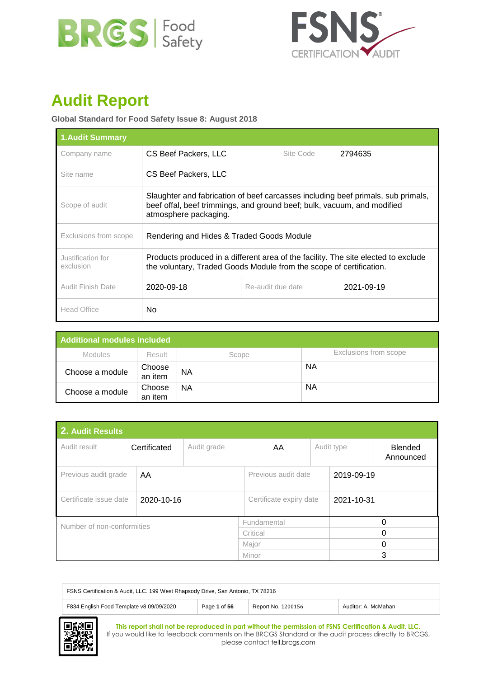



# **Audit Report**

# **Global Standard for Food Safety Issue 8: August 2018**

| <b>1.Audit Summary</b>         |                                                                                                                                                                                      |  |  |  |  |
|--------------------------------|--------------------------------------------------------------------------------------------------------------------------------------------------------------------------------------|--|--|--|--|
| Company name                   | CS Beef Packers, LLC<br>Site Code<br>2794635                                                                                                                                         |  |  |  |  |
| Site name                      | CS Beef Packers, LLC                                                                                                                                                                 |  |  |  |  |
| Scope of audit                 | Slaughter and fabrication of beef carcasses including beef primals, sub primals,<br>beef offal, beef trimmings, and ground beef; bulk, vacuum, and modified<br>atmosphere packaging. |  |  |  |  |
| Exclusions from scope          | Rendering and Hides & Traded Goods Module                                                                                                                                            |  |  |  |  |
| Justification for<br>exclusion | Products produced in a different area of the facility. The site elected to exclude<br>the voluntary, Traded Goods Module from the scope of certification.                            |  |  |  |  |
| Audit Finish Date              | 2021-09-19<br>2020-09-18<br>Re-audit due date                                                                                                                                        |  |  |  |  |
| <b>Head Office</b>             | No.                                                                                                                                                                                  |  |  |  |  |

| Additional modules included |                   |           |                       |  |  |
|-----------------------------|-------------------|-----------|-----------------------|--|--|
| <b>Modules</b>              | <b>Result</b>     | Scope     | Exclusions from scope |  |  |
| Choose a module             | Choose<br>an item | <b>NA</b> | ΝA                    |  |  |
| Choose a module             | Choose<br>an item | ΝA        | ΝA                    |  |  |

| 2. Audit Results                     |  |                             |                         |             |            |            |                             |
|--------------------------------------|--|-----------------------------|-------------------------|-------------|------------|------------|-----------------------------|
| Audit result                         |  | Audit grade<br>Certificated |                         | AA          |            | Audit type | <b>Blended</b><br>Announced |
| Previous audit grade<br>AA           |  |                             | Previous audit date     |             | 2019-09-19 |            |                             |
| Certificate issue date<br>2020-10-16 |  |                             | Certificate expiry date |             | 2021-10-31 |            |                             |
| Number of non-conformities           |  |                             |                         | Fundamental |            |            | 0                           |
|                                      |  |                             | Critical                |             | 0          |            |                             |
|                                      |  |                             | Major                   |             | 0          |            |                             |
|                                      |  |                             |                         | Minor       |            | 3          |                             |

| FSNS Certification & Audit, LLC. 199 West Rhapsody Drive, San Antonio, TX 78216                       |  |  |  |  |  |
|-------------------------------------------------------------------------------------------------------|--|--|--|--|--|
| F834 English Food Template v8 09/09/2020<br>Page 1 of 56<br>Auditor: A. McMahan<br>Report No. 1200156 |  |  |  |  |  |

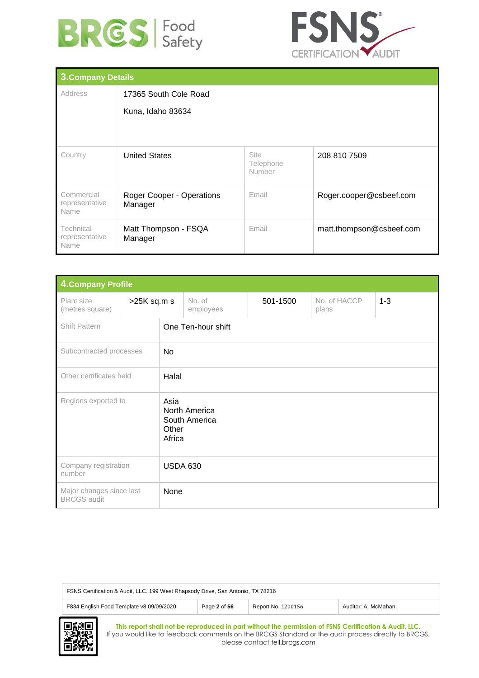



| <b>3. Company Details</b>            |                                      |                                    |                          |  |  |
|--------------------------------------|--------------------------------------|------------------------------------|--------------------------|--|--|
| Address                              | 17365 South Cole Road                |                                    |                          |  |  |
|                                      | Kuna, Idaho 83634                    |                                    |                          |  |  |
|                                      |                                      |                                    |                          |  |  |
|                                      |                                      |                                    |                          |  |  |
| Country                              | <b>United States</b>                 | <b>Site</b><br>Telephone<br>Number | 208 810 7509             |  |  |
| Commercial<br>representative<br>Name | Roger Cooper - Operations<br>Manager | Email                              | Roger.cooper@csbeef.com  |  |  |
| Technical<br>representative<br>Name  | Matt Thompson - FSQA<br>Manager      | Email                              | matt.thompson@csbeef.com |  |  |

|                                                        | <b>4. Company Profile</b> |                         |                                |          |                       |         |
|--------------------------------------------------------|---------------------------|-------------------------|--------------------------------|----------|-----------------------|---------|
| Plant size<br>(metres square)                          | >25K sq.m s               | No. of<br>employees     |                                | 501-1500 | No. of HACCP<br>plans | $1 - 3$ |
| <b>Shift Pattern</b>                                   |                           | One Ten-hour shift      |                                |          |                       |         |
| Subcontracted processes                                |                           | <b>No</b>               |                                |          |                       |         |
| Other certificates held                                |                           | Halal                   |                                |          |                       |         |
| Regions exported to                                    |                           | Asia<br>Other<br>Africa | North America<br>South America |          |                       |         |
| Company registration<br><b>USDA 630</b><br>number      |                           |                         |                                |          |                       |         |
| Major changes since last<br>None<br><b>BRCGS</b> audit |                           |                         |                                |          |                       |         |

| FSNS Certification & Audit, LLC. 199 West Rhapsody Drive, San Antonio, TX 78216                       |  |  |  |  |  |
|-------------------------------------------------------------------------------------------------------|--|--|--|--|--|
| F834 English Food Template v8 09/09/2020<br>Report No. 1200156<br>Page 2 of 56<br>Auditor: A. McMahan |  |  |  |  |  |
|                                                                                                       |  |  |  |  |  |

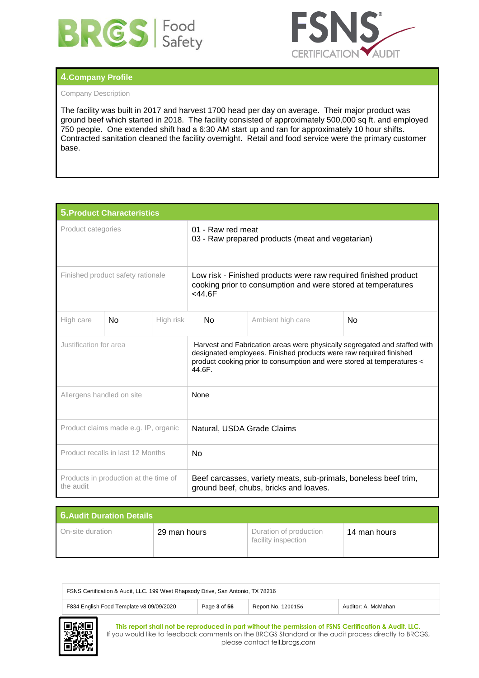



# **4.Company Profile**

# Company Description

The facility was built in 2017 and harvest 1700 head per day on average. Their major product was ground beef which started in 2018. The facility consisted of approximately 500,000 sq ft. and employed 750 people. One extended shift had a 6:30 AM start up and ran for approximately 10 hour shifts. Contracted sanitation cleaned the facility overnight. Retail and food service were the primary customer base.

| <b>5. Product Characteristics</b>                  |    |           |                                                                                                                                                                                                                                     |                                                                                                           |  |  |
|----------------------------------------------------|----|-----------|-------------------------------------------------------------------------------------------------------------------------------------------------------------------------------------------------------------------------------------|-----------------------------------------------------------------------------------------------------------|--|--|
| Product categories                                 |    |           | 01 - Raw red meat<br>03 - Raw prepared products (meat and vegetarian)                                                                                                                                                               |                                                                                                           |  |  |
| Finished product safety rationale                  |    |           | Low risk - Finished products were raw required finished product<br>cooking prior to consumption and were stored at temperatures<br>$<$ 44.6F                                                                                        |                                                                                                           |  |  |
| High care                                          | No | High risk | No<br>Ambient high care<br>No                                                                                                                                                                                                       |                                                                                                           |  |  |
| Justification for area                             |    |           | Harvest and Fabrication areas were physically segregated and staffed with<br>designated employees. Finished products were raw required finished<br>product cooking prior to consumption and were stored at temperatures <<br>44.6F. |                                                                                                           |  |  |
| Allergens handled on site                          |    |           | None                                                                                                                                                                                                                                |                                                                                                           |  |  |
| Product claims made e.g. IP, organic               |    |           | Natural, USDA Grade Claims                                                                                                                                                                                                          |                                                                                                           |  |  |
| Product recalls in last 12 Months                  |    |           | N <sub>o</sub>                                                                                                                                                                                                                      |                                                                                                           |  |  |
| Products in production at the time of<br>the audit |    |           |                                                                                                                                                                                                                                     | Beef carcasses, variety meats, sub-primals, boneless beef trim,<br>ground beef, chubs, bricks and loaves. |  |  |

| <b>6. Audit Duration Details</b> |              |                                               |              |  |
|----------------------------------|--------------|-----------------------------------------------|--------------|--|
| On-site duration                 | 29 man hours | Duration of production<br>facility inspection | 14 man hours |  |

| FSNS Certification & Audit, LLC. 199 West Rhapsody Drive, San Antonio, TX 78216                       |  |  |  |  |  |
|-------------------------------------------------------------------------------------------------------|--|--|--|--|--|
| F834 English Food Template v8 09/09/2020<br>Page 3 of 56<br>Report No. 1200156<br>Auditor: A. McMahan |  |  |  |  |  |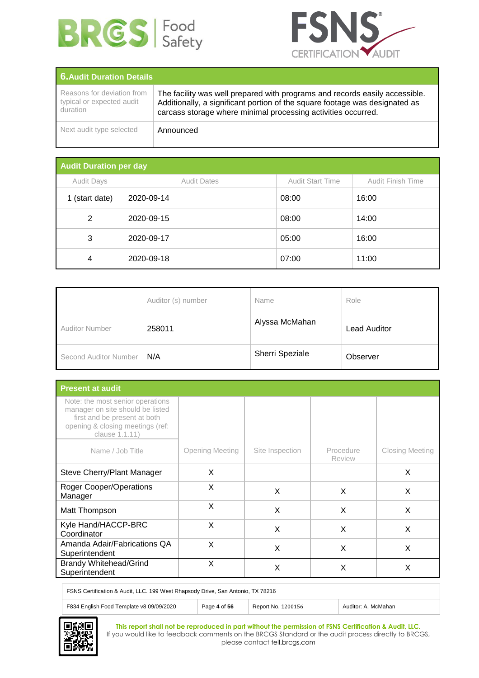



| <b>6. Audit Duration Details</b>                                    |                                                                                                                                                                                                                             |  |  |  |  |
|---------------------------------------------------------------------|-----------------------------------------------------------------------------------------------------------------------------------------------------------------------------------------------------------------------------|--|--|--|--|
| Reasons for deviation from<br>typical or expected audit<br>duration | The facility was well prepared with programs and records easily accessible.<br>Additionally, a significant portion of the square footage was designated as<br>carcass storage where minimal processing activities occurred. |  |  |  |  |
| Next audit type selected                                            | Announced                                                                                                                                                                                                                   |  |  |  |  |

| <b>Audit Duration per day</b> |                    |                         |                   |  |  |
|-------------------------------|--------------------|-------------------------|-------------------|--|--|
| <b>Audit Days</b>             | <b>Audit Dates</b> | <b>Audit Start Time</b> | Audit Finish Time |  |  |
| 1 (start date)                | 2020-09-14         | 08:00                   | 16:00             |  |  |
| 2                             | 2020-09-15         | 08:00                   | 14:00             |  |  |
| 3                             | 2020-09-17         | 05:00                   | 16:00             |  |  |
| 4                             | 2020-09-18         | 07:00                   | 11:00             |  |  |

|                       | Auditor (s) number | Name            | Role         |
|-----------------------|--------------------|-----------------|--------------|
| <b>Auditor Number</b> | 258011             | Alyssa McMahan  | Lead Auditor |
| Second Auditor Number | N/A                | Sherri Speziale | Observer     |

| <b>Present at audit</b>                                                                                                                                    |                 |                 |                            |                        |  |
|------------------------------------------------------------------------------------------------------------------------------------------------------------|-----------------|-----------------|----------------------------|------------------------|--|
| Note: the most senior operations<br>manager on site should be listed<br>first and be present at both<br>opening & closing meetings (ref:<br>clause 1.1.11) |                 |                 |                            |                        |  |
| Name / Job Title                                                                                                                                           | Opening Meeting | Site Inspection | Procedure<br><b>Review</b> | <b>Closing Meeting</b> |  |
| Steve Cherry/Plant Manager                                                                                                                                 | X               |                 |                            | X                      |  |
| <b>Roger Cooper/Operations</b><br>Manager                                                                                                                  | X               | X               | X                          | X                      |  |
| Matt Thompson                                                                                                                                              | X               | X               | X                          | X                      |  |
| Kyle Hand/HACCP-BRC<br>Coordinator                                                                                                                         | X               | X               | X                          | X                      |  |
| Amanda Adair/Fabrications QA<br>Superintendent                                                                                                             | X               | X               | X                          | X                      |  |
| <b>Brandy Whitehead/Grind</b><br>Superintendent                                                                                                            | X               | X               | X                          | X                      |  |

FSNS Certification & Audit, LLC. 199 West Rhapsody Drive, San Antonio, TX 78216

| F834 English Food Template v8 09/09/2<br>2020 | 1200156<br><b>N<sub>O</sub></b> | AcMahar<br>$4$ $1$ $0$ $1$ $0$ $1$ $0$ $1$<br>___ |
|-----------------------------------------------|---------------------------------|---------------------------------------------------|

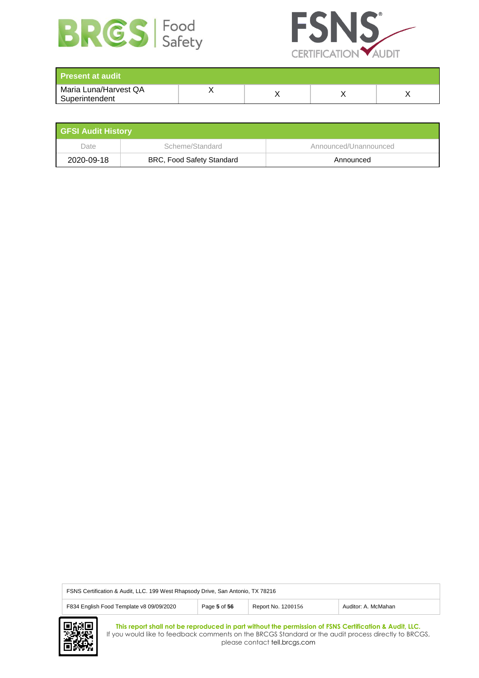



| <b>Present at audit</b>                 |  |  |
|-----------------------------------------|--|--|
| Maria Luna/Harvest QA<br>Superintendent |  |  |

| <b>GFSI Audit History</b> |                                  |                       |  |  |
|---------------------------|----------------------------------|-----------------------|--|--|
| Date                      | Scheme/Standard                  | Announced/Unannounced |  |  |
| 2020-09-18                | <b>BRC, Food Safety Standard</b> | Announced             |  |  |

| FSNS Certification & Audit, LLC. 199 West Rhapsody Drive, San Antonio, TX 78216                       |  |  |  |  |
|-------------------------------------------------------------------------------------------------------|--|--|--|--|
| F834 English Food Template v8 09/09/2020<br>Report No. 1200156<br>Page 5 of 56<br>Auditor: A. McMahan |  |  |  |  |
|                                                                                                       |  |  |  |  |

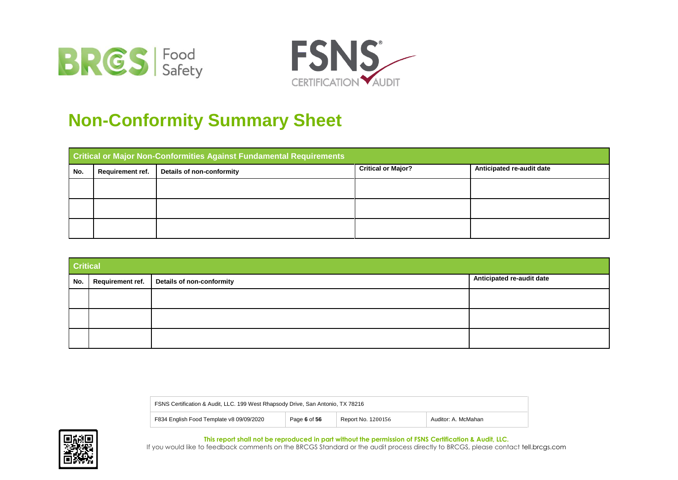



# **Non-Conformity Summary Sheet**

|     | <b>Critical or Major Non-Conformities Against Fundamental Requirements</b> |                           |                           |                           |  |  |
|-----|----------------------------------------------------------------------------|---------------------------|---------------------------|---------------------------|--|--|
| No. | Requirement ref.                                                           | Details of non-conformity | <b>Critical or Major?</b> | Anticipated re-audit date |  |  |
|     |                                                                            |                           |                           |                           |  |  |
|     |                                                                            |                           |                           |                           |  |  |
|     |                                                                            |                           |                           |                           |  |  |

| <b>Critical</b> |                                                    |                           |  |  |
|-----------------|----------------------------------------------------|---------------------------|--|--|
|                 | No.   Requirement ref.   Details of non-conformity | Anticipated re-audit date |  |  |
|                 |                                                    |                           |  |  |
|                 |                                                    |                           |  |  |
|                 |                                                    |                           |  |  |

| FSNS Certification & Audit, LLC. 199 West Rhapsody Drive, San Antonio, TX 78216 |              |                    |                     |  |
|---------------------------------------------------------------------------------|--------------|--------------------|---------------------|--|
| F834 English Food Template v8 09/09/2020                                        | Page 6 of 56 | Report No. 1200156 | Auditor: A. McMahan |  |

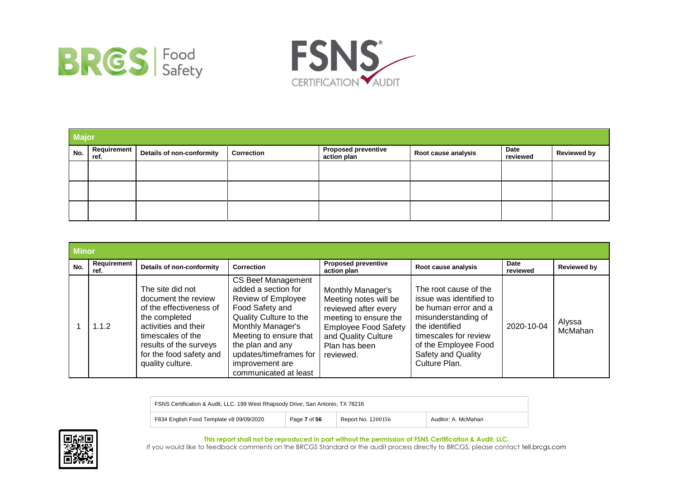



|     | <b>Major</b>        |                           |                   |                                           |                     |                         |                    |
|-----|---------------------|---------------------------|-------------------|-------------------------------------------|---------------------|-------------------------|--------------------|
| No. | Requirement<br>ref. | Details of non-conformity | <b>Correction</b> | <b>Proposed preventive</b><br>action plan | Root cause analysis | <b>Date</b><br>reviewed | <b>Reviewed by</b> |
|     |                     |                           |                   |                                           |                     |                         |                    |
|     |                     |                           |                   |                                           |                     |                         |                    |
|     |                     |                           |                   |                                           |                     |                         |                    |

|     | <b>Minor</b>        |                                                                                                                                                                                                           |                                                                                                                                                                                                                                                              |                                                                                                                                                                                 |                                                                                                                                                                                                           |                  |                    |
|-----|---------------------|-----------------------------------------------------------------------------------------------------------------------------------------------------------------------------------------------------------|--------------------------------------------------------------------------------------------------------------------------------------------------------------------------------------------------------------------------------------------------------------|---------------------------------------------------------------------------------------------------------------------------------------------------------------------------------|-----------------------------------------------------------------------------------------------------------------------------------------------------------------------------------------------------------|------------------|--------------------|
| No. | Requirement<br>ref. | Details of non-conformity                                                                                                                                                                                 | <b>Correction</b>                                                                                                                                                                                                                                            | <b>Proposed preventive</b><br>action plan                                                                                                                                       | Root cause analysis                                                                                                                                                                                       | Date<br>reviewed | <b>Reviewed by</b> |
|     | 1.1.2               | The site did not<br>document the review<br>of the effectiveness of<br>the completed<br>activities and their<br>timescales of the<br>results of the surveys<br>for the food safety and<br>quality culture. | CS Beef Management<br>added a section for<br>Review of Employee<br>Food Safety and<br>Quality Culture to the<br><b>Monthly Manager's</b><br>Meeting to ensure that<br>the plan and any<br>updates/timeframes for<br>improvement are<br>communicated at least | Monthly Manager's<br>Meeting notes will be<br>reviewed after every<br>meeting to ensure the<br><b>Employee Food Safety</b><br>and Quality Culture<br>Plan has been<br>reviewed. | The root cause of the<br>issue was identified to<br>be human error and a<br>misunderstanding of<br>the identified<br>timescales for review<br>of the Employee Food<br>Safety and Quality<br>Culture Plan. | 2020-10-04       | Alyssa<br>McMahan  |

| FSNS Certification & Audit, LLC. 199 West Rhapsody Drive, San Antonio, TX 78216 |              |                    |                     |
|---------------------------------------------------------------------------------|--------------|--------------------|---------------------|
| F834 English Food Template v8 09/09/2020                                        | Page 7 of 56 | Report No. 1200156 | Auditor: A. McMahan |

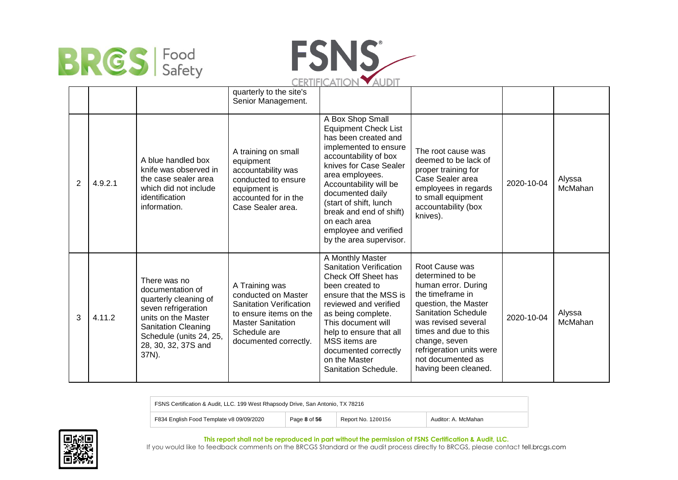



|                |         |                                                                                                                                                                                                  | quarterly to the site's<br>Senior Management.                                                                                                                          |                                                                                                                                                                                                                                                                                                                                               |                                                                                                                                                                                                                                                                               |            |                   |
|----------------|---------|--------------------------------------------------------------------------------------------------------------------------------------------------------------------------------------------------|------------------------------------------------------------------------------------------------------------------------------------------------------------------------|-----------------------------------------------------------------------------------------------------------------------------------------------------------------------------------------------------------------------------------------------------------------------------------------------------------------------------------------------|-------------------------------------------------------------------------------------------------------------------------------------------------------------------------------------------------------------------------------------------------------------------------------|------------|-------------------|
| $\overline{2}$ | 4.9.2.1 | A blue handled box<br>knife was observed in<br>the case sealer area<br>which did not include<br>identification<br>information.                                                                   | A training on small<br>equipment<br>accountability was<br>conducted to ensure<br>equipment is<br>accounted for in the<br>Case Sealer area.                             | A Box Shop Small<br><b>Equipment Check List</b><br>has been created and<br>implemented to ensure<br>accountability of box<br>knives for Case Sealer<br>area employees.<br>Accountability will be<br>documented daily<br>(start of shift, lunch<br>break and end of shift)<br>on each area<br>employee and verified<br>by the area supervisor. | The root cause was<br>deemed to be lack of<br>proper training for<br>Case Sealer area<br>employees in regards<br>to small equipment<br>accountability (box<br>knives).                                                                                                        | 2020-10-04 | Alyssa<br>McMahan |
| 3              | 4.11.2  | There was no<br>documentation of<br>quarterly cleaning of<br>seven refrigeration<br>units on the Master<br><b>Sanitation Cleaning</b><br>Schedule (units 24, 25,<br>28, 30, 32, 37S and<br>37N). | A Training was<br>conducted on Master<br><b>Sanitation Verification</b><br>to ensure items on the<br><b>Master Sanitation</b><br>Schedule are<br>documented correctly. | A Monthly Master<br><b>Sanitation Verification</b><br>Check Off Sheet has<br>been created to<br>ensure that the MSS is<br>reviewed and verified<br>as being complete.<br>This document will<br>help to ensure that all<br>MSS items are<br>documented correctly<br>on the Master<br>Sanitation Schedule.                                      | Root Cause was<br>determined to be<br>human error. During<br>the timeframe in<br>question, the Master<br><b>Sanitation Schedule</b><br>was revised several<br>times and due to this<br>change, seven<br>refrigeration units were<br>not documented as<br>having been cleaned. | 2020-10-04 | Alyssa<br>McMahan |

FSNS Certification & Audit, LLC. 199 West Rhapsody Drive, San Antonio, TX 78216 F834 English Food Template v8 09/09/2020 Page **8** of **56** Report No. 1200156 Auditor: A. McMahan



**This report shall not be reproduced in part without the permission of FSNS Certification & Audit, LLC.**

If you would like to feedback comments on the BRCGS Standard or the audit process directly to BRCGS, please contact tell.brcgs.com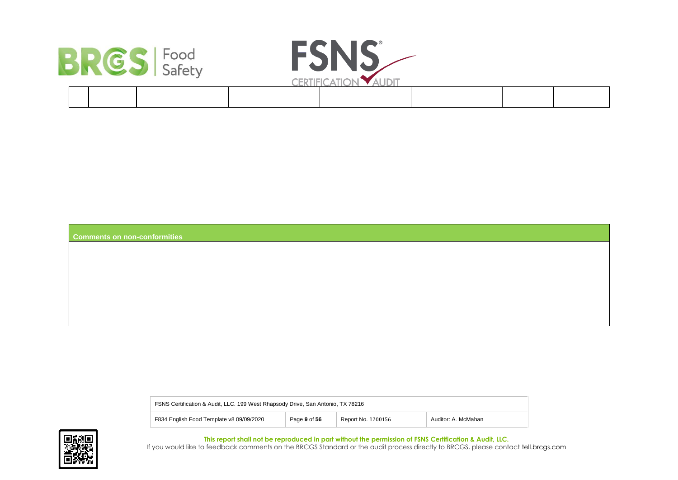



| <b>Comments on non-conformities</b> |  |  |
|-------------------------------------|--|--|
|                                     |  |  |

| FSNS Certification & Audit, LLC. 199 West Rhapsody Drive, San Antonio, TX 78216 |              |                    |                     |
|---------------------------------------------------------------------------------|--------------|--------------------|---------------------|
| F834 English Food Template v8 09/09/2020                                        | Page 9 of 56 | Report No. 1200156 | Auditor: A. McMahan |

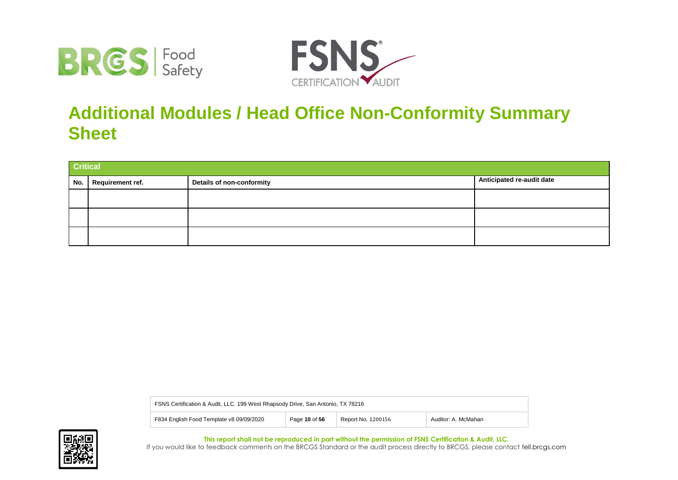



# **Additional Modules / Head Office Non-Conformity Summary Sheet**

|     | <b>Critical</b>  |                           |                           |  |
|-----|------------------|---------------------------|---------------------------|--|
| No. | Requirement ref. | Details of non-conformity | Anticipated re-audit date |  |
|     |                  |                           |                           |  |
|     |                  |                           |                           |  |
|     |                  |                           |                           |  |

| FSNS Certification & Audit, LLC. 199 West Rhapsody Drive, San Antonio, TX 78216 |               |                    |                     |  |
|---------------------------------------------------------------------------------|---------------|--------------------|---------------------|--|
| F834 English Food Template v8 09/09/2020                                        | Page 10 of 56 | Report No. 1200156 | Auditor: A. McMahan |  |

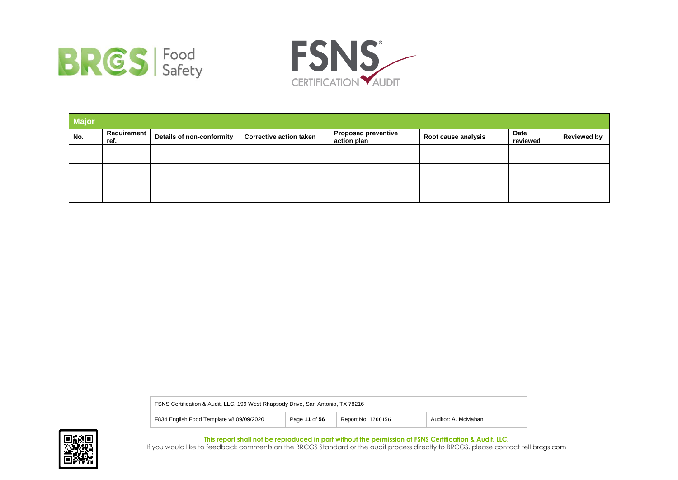



| <b>Major</b> |                            |                           |                                |                                           |                     |                  |                    |
|--------------|----------------------------|---------------------------|--------------------------------|-------------------------------------------|---------------------|------------------|--------------------|
| No.          | <b>Requirement</b><br>ref. | Details of non-conformity | <b>Corrective action taken</b> | <b>Proposed preventive</b><br>action plan | Root cause analysis | Date<br>reviewed | <b>Reviewed by</b> |
|              |                            |                           |                                |                                           |                     |                  |                    |
|              |                            |                           |                                |                                           |                     |                  |                    |
|              |                            |                           |                                |                                           |                     |                  |                    |

| FSNS Certification & Audit, LLC. 199 West Rhapsody Drive, San Antonio, TX 78216 |               |                    |                     |
|---------------------------------------------------------------------------------|---------------|--------------------|---------------------|
| F834 English Food Template v8 09/09/2020                                        | Page 11 of 56 | Report No. 1200156 | Auditor: A. McMahan |

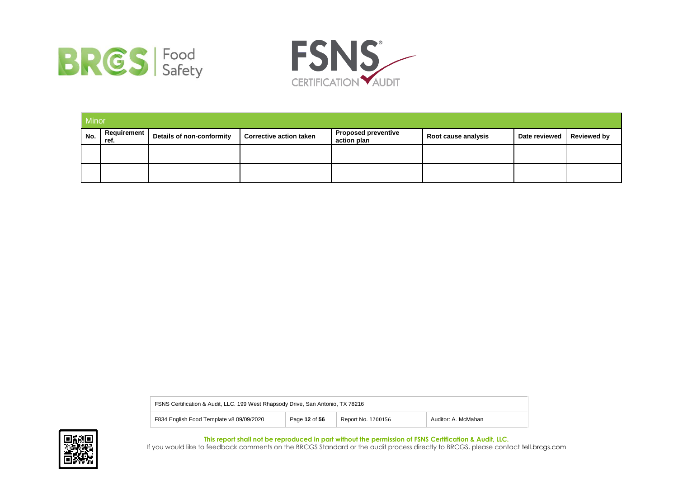



|     | Minor                 |                           |                                |                                           |                     |               |                    |
|-----|-----------------------|---------------------------|--------------------------------|-------------------------------------------|---------------------|---------------|--------------------|
| No. | Requirement  <br>ref. | Details of non-conformity | <b>Corrective action taken</b> | <b>Proposed preventive</b><br>action plan | Root cause analysis | Date reviewed | <b>Reviewed by</b> |
|     |                       |                           |                                |                                           |                     |               |                    |
|     |                       |                           |                                |                                           |                     |               |                    |

| FSNS Certification & Audit, LLC. 199 West Rhapsody Drive, San Antonio, TX 78216 |               |                    |                     |
|---------------------------------------------------------------------------------|---------------|--------------------|---------------------|
| F834 English Food Template v8 09/09/2020                                        | Page 12 of 56 | Report No. 1200156 | Auditor: A. McMahan |

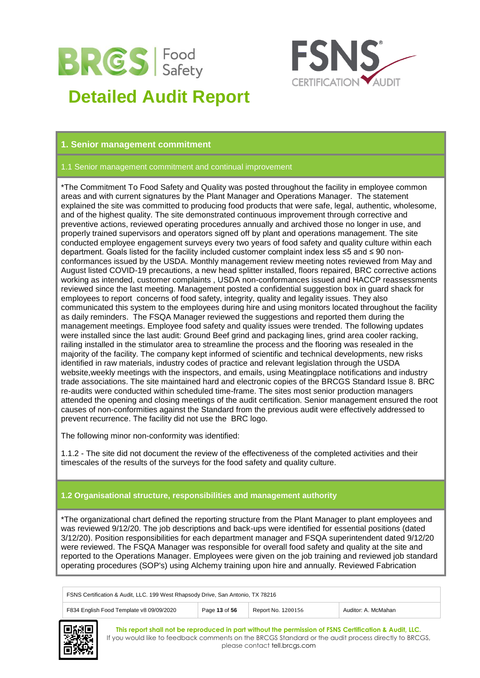

# **Detailed Audit Report**



# **1. Senior management commitment**

# 1.1 Senior management commitment and continual improvement

\*The Commitment To Food Safety and Quality was posted throughout the facility in employee common areas and with current signatures by the Plant Manager and Operations Manager. The statement explained the site was committed to producing food products that were safe, legal, authentic, wholesome, and of the highest quality. The site demonstrated continuous improvement through corrective and preventive actions, reviewed operating procedures annually and archived those no longer in use, and properly trained supervisors and operators signed off by plant and operations management. The site conducted employee engagement surveys every two years of food safety and quality culture within each department. Goals listed for the facility included customer complaint index less ≤5 and ≤ 90 nonconformances issued by the USDA. Monthly management review meeting notes reviewed from May and August listed COVID-19 precautions, a new head splitter installed, floors repaired, BRC corrective actions working as intended, customer complaints , USDA non-conformances issued and HACCP reassessments reviewed since the last meeting. Management posted a confidential suggestion box in guard shack for employees to report concerns of food safety, integrity, quality and legality issues. They also communicated this system to the employees during hire and using monitors located throughout the facility as daily reminders. The FSQA Manager reviewed the suggestions and reported them during the management meetings. Employee food safety and quality issues were trended. The following updates were installed since the last audit: Ground Beef grind and packaging lines, grind area cooler racking, railing installed in the stimulator area to streamline the process and the flooring was resealed in the majority of the facility. The company kept informed of scientific and technical developments, new risks identified in raw materials, industry codes of practice and relevant legislation through the USDA website,weekly meetings with the inspectors, and emails, using Meatingplace notifications and industry trade associations. The site maintained hard and electronic copies of the BRCGS Standard Issue 8. BRC re-audits were conducted within scheduled time-frame. The sites most senior production managers attended the opening and closing meetings of the audit certification. Senior management ensured the root causes of non-conformities against the Standard from the previous audit were effectively addressed to prevent recurrence. The facility did not use the BRC logo.

The following minor non-conformity was identified:

1.1.2 - The site did not document the review of the effectiveness of the completed activities and their timescales of the results of the surveys for the food safety and quality culture.

# **1.2 Organisational structure, responsibilities and management authority**

\*The organizational chart defined the reporting structure from the Plant Manager to plant employees and was reviewed 9/12/20. The job descriptions and back-ups were identified for essential positions (dated 3/12/20). Position responsibilities for each department manager and FSQA superintendent dated 9/12/20 were reviewed. The FSQA Manager was responsible for overall food safety and quality at the site and reported to the Operations Manager. Employees were given on the job training and reviewed job standard operating procedures (SOP's) using Alchemy training upon hire and annually. Reviewed Fabrication

| FSNS Certification & Audit, LLC. 199 West Rhapsody Drive, San Antonio, TX 78216 |               |                    |                     |
|---------------------------------------------------------------------------------|---------------|--------------------|---------------------|
| F834 English Food Template v8 09/09/2020                                        | Page 13 of 56 | Report No. 1200156 | Auditor: A. McMahan |

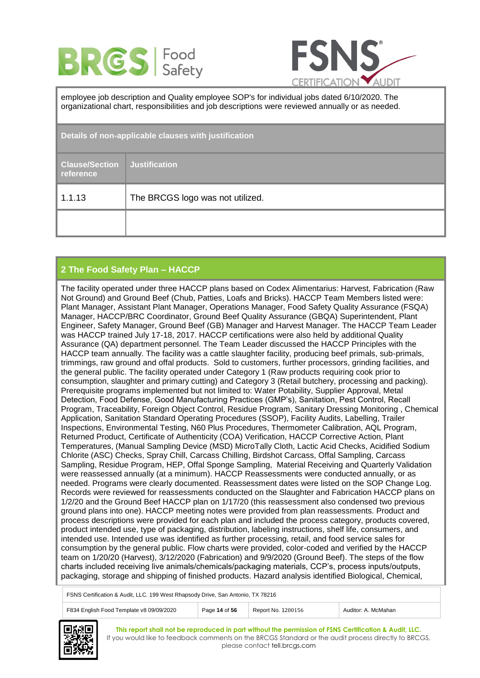



employee job description and Quality employee SOP's for individual jobs dated 6/10/2020. The organizational chart, responsibilities and job descriptions were reviewed annually or as needed.

| Details of non-applicable clauses with justification |                                  |  |
|------------------------------------------------------|----------------------------------|--|
| <b>Clause/Section</b><br>reference                   | <b>Justification</b>             |  |
| 1.1.13                                               | The BRCGS logo was not utilized. |  |
|                                                      |                                  |  |

# **2 The Food Safety Plan – HACCP**

The facility operated under three HACCP plans based on Codex Alimentarius: Harvest, Fabrication (Raw Not Ground) and Ground Beef (Chub, Patties, Loafs and Bricks). HACCP Team Members listed were: Plant Manager, Assistant Plant Manager, Operations Manager, Food Safety Quality Assurance (FSQA) Manager, HACCP/BRC Coordinator, Ground Beef Quality Assurance (GBQA) Superintendent, Plant Engineer, Safety Manager, Ground Beef (GB) Manager and Harvest Manager. The HACCP Team Leader was HACCP trained July 17-18, 2017. HACCP certifications were also held by additional Quality Assurance (QA) department personnel. The Team Leader discussed the HACCP Principles with the HACCP team annually. The facility was a cattle slaughter facility, producing beef primals, sub-primals, trimmings, raw ground and offal products. Sold to customers, further processors, grinding facilities, and the general public. The facility operated under Category 1 (Raw products requiring cook prior to consumption, slaughter and primary cutting) and Category 3 (Retail butchery, processing and packing). Prerequisite programs implemented but not limited to: Water Potability, Supplier Approval, Metal Detection, Food Defense, Good Manufacturing Practices (GMP's), Sanitation, Pest Control, Recall Program, Traceability, Foreign Object Control, Residue Program, Sanitary Dressing Monitoring , Chemical Application, Sanitation Standard Operating Procedures (SSOP), Facility Audits, Labelling, Trailer Inspections, Environmental Testing, N60 Plus Procedures, Thermometer Calibration, AQL Program, Returned Product, Certificate of Authenticity (COA) Verification, HACCP Corrective Action, Plant Temperatures, (Manual Sampling Device (MSD) MicroTally Cloth, Lactic Acid Checks, Acidified Sodium Chlorite (ASC) Checks, Spray Chill, Carcass Chilling, Birdshot Carcass, Offal Sampling, Carcass Sampling, Residue Program, HEP, Offal Sponge Sampling, Material Receiving and Quarterly Validation were reassessed annually (at a minimum). HACCP Reassessments were conducted annually, or as needed. Programs were clearly documented. Reassessment dates were listed on the SOP Change Log. Records were reviewed for reassessments conducted on the Slaughter and Fabrication HACCP plans on 1/2/20 and the Ground Beef HACCP plan on 1/17/20 (this reassessment also condensed two previous ground plans into one). HACCP meeting notes were provided from plan reassessments. Product and process descriptions were provided for each plan and included the process category, products covered, product intended use, type of packaging, distribution, labeling instructions, shelf life, consumers, and intended use. Intended use was identified as further processing, retail, and food service sales for consumption by the general public. Flow charts were provided, color-coded and verified by the HACCP team on 1/20/20 (Harvest), 3/12/2020 (Fabrication) and 9/9/2020 (Ground Beef). The steps of the flow charts included receiving live animals/chemicals/packaging materials, CCP's, process inputs/outputs, packaging, storage and shipping of finished products. Hazard analysis identified Biological, Chemical,

FSNS Certification & Audit, LLC. 199 West Rhapsody Drive, San Antonio, TX 78216

| F834 English Food Template v8 09/09/2020 | of <sub>56</sub> | 1200156<br>Report No.<br>__ | McMahan<br>Auditor <sup>.</sup> |
|------------------------------------------|------------------|-----------------------------|---------------------------------|

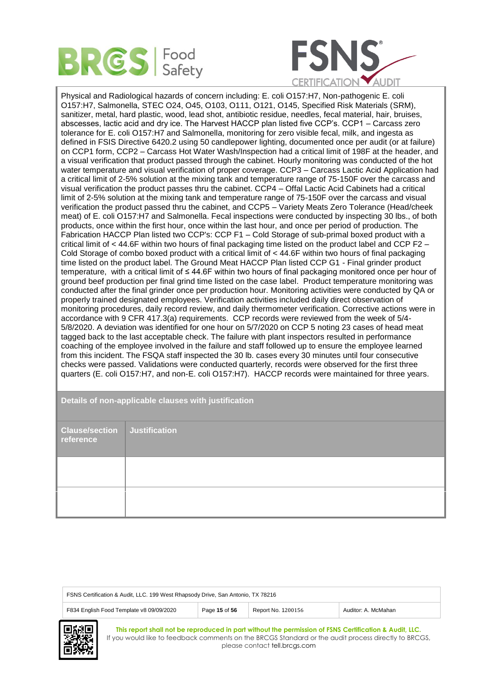



Physical and Radiological hazards of concern including: E. coli O157:H7, Non-pathogenic E. coli O157:H7, Salmonella, STEC O24, O45, O103, O111, O121, O145, Specified Risk Materials (SRM), sanitizer, metal, hard plastic, wood, lead shot, antibiotic residue, needles, fecal material, hair, bruises, abscesses, lactic acid and dry ice. The Harvest HACCP plan listed five CCP's. CCP1 – Carcass zero tolerance for E. coli O157:H7 and Salmonella, monitoring for zero visible fecal, milk, and ingesta as defined in FSIS Directive 6420.2 using 50 candlepower lighting, documented once per audit (or at failure) on CCP1 form, CCP2 – Carcass Hot Water Wash/Inspection had a critical limit of 198F at the header, and a visual verification that product passed through the cabinet. Hourly monitoring was conducted of the hot water temperature and visual verification of proper coverage. CCP3 – Carcass Lactic Acid Application had a critical limit of 2-5% solution at the mixing tank and temperature range of 75-150F over the carcass and visual verification the product passes thru the cabinet. CCP4 – Offal Lactic Acid Cabinets had a critical limit of 2-5% solution at the mixing tank and temperature range of 75-150F over the carcass and visual verification the product passed thru the cabinet, and CCP5 – Variety Meats Zero Tolerance (Head/cheek meat) of E. coli O157:H7 and Salmonella. Fecal inspections were conducted by inspecting 30 lbs., of both products, once within the first hour, once within the last hour, and once per period of production. The Fabrication HACCP Plan listed two CCP's: CCP F1 – Cold Storage of sub-primal boxed product with a critical limit of  $<$  44.6F within two hours of final packaging time listed on the product label and CCP F2 – Cold Storage of combo boxed product with a critical limit of < 44.6F within two hours of final packaging time listed on the product label. The Ground Meat HACCP Plan listed CCP G1 - Final grinder product temperature, with a critical limit of ≤ 44.6F within two hours of final packaging monitored once per hour of ground beef production per final grind time listed on the case label. Product temperature monitoring was conducted after the final grinder once per production hour. Monitoring activities were conducted by QA or properly trained designated employees. Verification activities included daily direct observation of monitoring procedures, daily record review, and daily thermometer verification. Corrective actions were in accordance with 9 CFR 417.3(a) requirements. CCP records were reviewed from the week of 5/4- 5/8/2020. A deviation was identified for one hour on 5/7/2020 on CCP 5 noting 23 cases of head meat tagged back to the last acceptable check. The failure with plant inspectors resulted in performance coaching of the employee involved in the failure and staff followed up to ensure the employee learned from this incident. The FSQA staff inspected the 30 lb. cases every 30 minutes until four consecutive checks were passed. Validations were conducted quarterly, records were observed for the first three quarters (E. coli O157:H7, and non-E. coli O157:H7). HACCP records were maintained for three years.

# **Details of non-applicable clauses with justification**

| <b>Clause/section Justification</b><br>reference |  |
|--------------------------------------------------|--|
|                                                  |  |
|                                                  |  |

| FSNS Certification & Audit, LLC. 199 West Rhapsody Drive, San Antonio, TX 78216                        |  |  |  |  |
|--------------------------------------------------------------------------------------------------------|--|--|--|--|
| F834 English Food Template v8 09/09/2020<br>Page 15 of 56<br>Report No. 1200156<br>Auditor: A. McMahan |  |  |  |  |
| —---                                                                                                   |  |  |  |  |

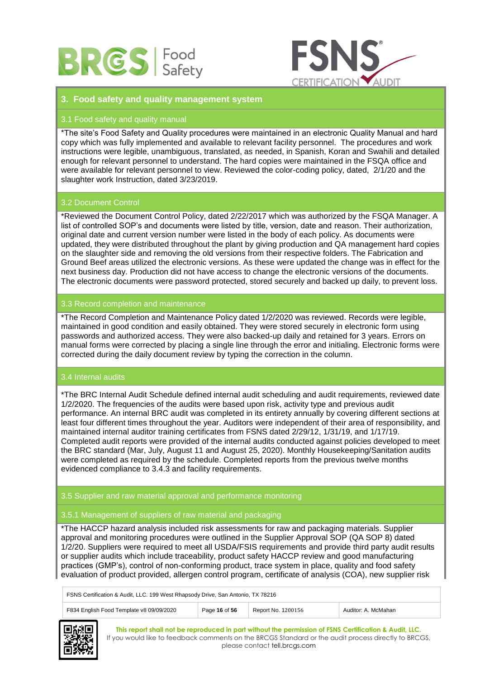



# **3. Food safety and quality management system**

# 3.1 Food safety and quality manual

\*The site's Food Safety and Quality procedures were maintained in an electronic Quality Manual and hard copy which was fully implemented and available to relevant facility personnel. The procedures and work instructions were legible, unambiguous, translated, as needed, in Spanish, Koran and Swahili and detailed enough for relevant personnel to understand. The hard copies were maintained in the FSQA office and were available for relevant personnel to view. Reviewed the color-coding policy, dated, 2/1/20 and the slaughter work Instruction, dated 3/23/2019.

# 3.2 Document Control

\*Reviewed the Document Control Policy, dated 2/22/2017 which was authorized by the FSQA Manager. A list of controlled SOP's and documents were listed by title, version, date and reason. Their authorization, original date and current version number were listed in the body of each policy. As documents were updated, they were distributed throughout the plant by giving production and QA management hard copies on the slaughter side and removing the old versions from their respective folders. The Fabrication and Ground Beef areas utilized the electronic versions. As these were updated the change was in effect for the next business day. Production did not have access to change the electronic versions of the documents. The electronic documents were password protected, stored securely and backed up daily, to prevent loss.

# 3.3 Record completion and maintenance

\*The Record Completion and Maintenance Policy dated 1/2/2020 was reviewed. Records were legible, maintained in good condition and easily obtained. They were stored securely in electronic form using passwords and authorized access. They were also backed-up daily and retained for 3 years. Errors on manual forms were corrected by placing a single line through the error and initialing. Electronic forms were corrected during the daily document review by typing the correction in the column.

# 3.4 Internal audits

\*The BRC Internal Audit Schedule defined internal audit scheduling and audit requirements, reviewed date 1/2/2020. The frequencies of the audits were based upon risk, activity type and previous audit performance. An internal BRC audit was completed in its entirety annually by covering different sections at least four different times throughout the year. Auditors were independent of their area of responsibility, and maintained internal auditor training certificates from FSNS dated 2/29/12, 1/31/19, and 1/17/19. Completed audit reports were provided of the internal audits conducted against policies developed to meet the BRC standard (Mar, July, August 11 and August 25, 2020). Monthly Housekeeping/Sanitation audits were completed as required by the schedule. Completed reports from the previous twelve months evidenced compliance to 3.4.3 and facility requirements.

# 3.5 Supplier and raw material approval and performance monitoring

# 3.5.1 Management of suppliers of raw material and packaging

\*The HACCP hazard analysis included risk assessments for raw and packaging materials. Supplier approval and monitoring procedures were outlined in the Supplier Approval SOP (QA SOP 8) dated 1/2/20. Suppliers were required to meet all USDA/FSIS requirements and provide third party audit results or supplier audits which include traceability, product safety HACCP review and good manufacturing practices (GMP's), control of non-conforming product, trace system in place, quality and food safety evaluation of product provided, allergen control program, certificate of analysis (COA), new supplier risk

FSNS Certification & Audit, LLC. 199 West Rhapsody Drive, San Antonio, TX 78216

| F834 English Food Template v8 09/09/2020 | Page 16 of 56 | Report No. 1200156 | McMahar<br>Auditor: |
|------------------------------------------|---------------|--------------------|---------------------|

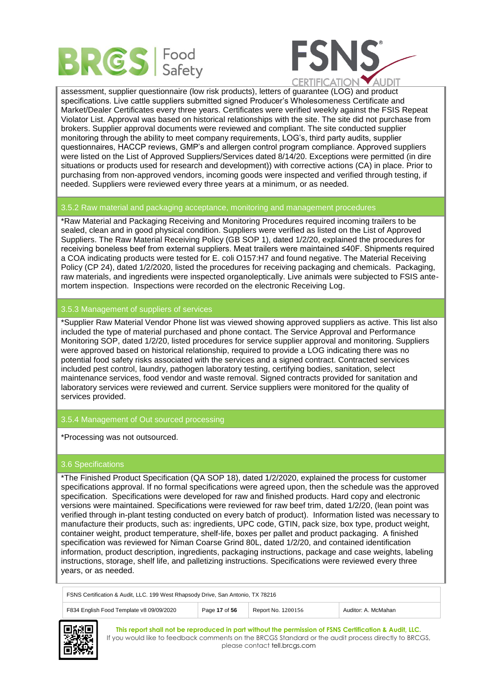



assessment, supplier questionnaire (low risk products), letters of guarantee (LOG) and product specifications. Live cattle suppliers submitted signed Producer's Wholesomeness Certificate and Market/Dealer Certificates every three years. Certificates were verified weekly against the FSIS Repeat Violator List. Approval was based on historical relationships with the site. The site did not purchase from brokers. Supplier approval documents were reviewed and compliant. The site conducted supplier monitoring through the ability to meet company requirements, LOG's, third party audits, supplier questionnaires, HACCP reviews, GMP's and allergen control program compliance. Approved suppliers were listed on the List of Approved Suppliers/Services dated 8/14/20. Exceptions were permitted (in dire situations or products used for research and development)) with corrective actions (CA) in place. Prior to purchasing from non-approved vendors, incoming goods were inspected and verified through testing, if needed. Suppliers were reviewed every three years at a minimum, or as needed.

# 3.5.2 Raw material and packaging acceptance, monitoring and management procedures

\*Raw Material and Packaging Receiving and Monitoring Procedures required incoming trailers to be sealed, clean and in good physical condition. Suppliers were verified as listed on the List of Approved Suppliers. The Raw Material Receiving Policy (GB SOP 1), dated 1/2/20, explained the procedures for receiving boneless beef from external suppliers. Meat trailers were maintained ≤40F. Shipments required a COA indicating products were tested for E. coli O157:H7 and found negative. The Material Receiving Policy (CP 24), dated 1/2/2020, listed the procedures for receiving packaging and chemicals. Packaging, raw materials, and ingredients were inspected organoleptically. Live animals were subjected to FSIS antemortem inspection. Inspections were recorded on the electronic Receiving Log.

# 3.5.3 Management of suppliers of services

\*Supplier Raw Material Vendor Phone list was viewed showing approved suppliers as active. This list also included the type of material purchased and phone contact. The Service Approval and Performance Monitoring SOP, dated 1/2/20, listed procedures for service supplier approval and monitoring. Suppliers were approved based on historical relationship, required to provide a LOG indicating there was no potential food safety risks associated with the services and a signed contract. Contracted services included pest control, laundry, pathogen laboratory testing, certifying bodies, sanitation, select maintenance services, food vendor and waste removal. Signed contracts provided for sanitation and laboratory services were reviewed and current. Service suppliers were monitored for the quality of services provided.

# 3.5.4 Management of Out sourced processing

\*Processing was not outsourced.

# 3.6 Specifications

\*The Finished Product Specification (QA SOP 18), dated 1/2/2020, explained the process for customer specifications approval. If no formal specifications were agreed upon, then the schedule was the approved specification. Specifications were developed for raw and finished products. Hard copy and electronic versions were maintained. Specifications were reviewed for raw beef trim, dated 1/2/20, (lean point was verified through in-plant testing conducted on every batch of product). Information listed was necessary to manufacture their products, such as: ingredients, UPC code, GTIN, pack size, box type, product weight, container weight, product temperature, shelf-life, boxes per pallet and product packaging. A finished specification was reviewed for Niman Coarse Grind 80L, dated 1/2/20, and contained identification information, product description, ingredients, packaging instructions, package and case weights, labeling instructions, storage, shelf life, and palletizing instructions. Specifications were reviewed every three years, or as needed.

| FSNS Certification & Audit, LLC. 199 West Rhapsody Drive, San Antonio, TX 78216                        |  |  |  |  |
|--------------------------------------------------------------------------------------------------------|--|--|--|--|
| Page 17 of 56<br>F834 English Food Template v8 09/09/2020<br>Report No. 1200156<br>Auditor: A. McMahan |  |  |  |  |

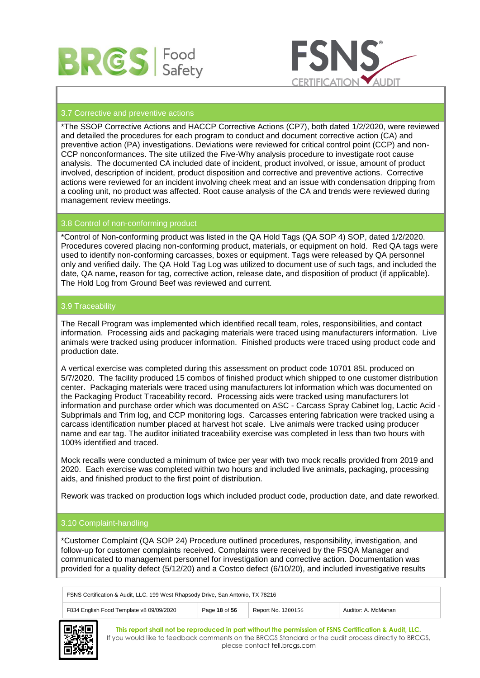



# 3.7 Corrective and preventive actions

\*The SSOP Corrective Actions and HACCP Corrective Actions (CP7), both dated 1/2/2020, were reviewed and detailed the procedures for each program to conduct and document corrective action (CA) and preventive action (PA) investigations. Deviations were reviewed for critical control point (CCP) and non-CCP nonconformances. The site utilized the Five-Why analysis procedure to investigate root cause analysis. The documented CA included date of incident, product involved, or issue, amount of product involved, description of incident, product disposition and corrective and preventive actions. Corrective actions were reviewed for an incident involving cheek meat and an issue with condensation dripping from a cooling unit, no product was affected. Root cause analysis of the CA and trends were reviewed during management review meetings.

# 3.8 Control of non-conforming product

\*Control of Non-conforming product was listed in the QA Hold Tags (QA SOP 4) SOP, dated 1/2/2020. Procedures covered placing non-conforming product, materials, or equipment on hold. Red QA tags were used to identify non-conforming carcasses, boxes or equipment. Tags were released by QA personnel only and verified daily. The QA Hold Tag Log was utilized to document use of such tags, and included the date, QA name, reason for tag, corrective action, release date, and disposition of product (if applicable). The Hold Log from Ground Beef was reviewed and current.

# 3.9 Traceability

The Recall Program was implemented which identified recall team, roles, responsibilities, and contact information. Processing aids and packaging materials were traced using manufacturers information. Live animals were tracked using producer information. Finished products were traced using product code and production date.

A vertical exercise was completed during this assessment on product code 10701 85L produced on 5/7/2020. The facility produced 15 combos of finished product which shipped to one customer distribution center. Packaging materials were traced using manufacturers lot information which was documented on the Packaging Product Traceability record. Processing aids were tracked using manufacturers lot information and purchase order which was documented on ASC - Carcass Spray Cabinet log, Lactic Acid - Subprimals and Trim log, and CCP monitoring logs. Carcasses entering fabrication were tracked using a carcass identification number placed at harvest hot scale. Live animals were tracked using producer name and ear tag. The auditor initiated traceability exercise was completed in less than two hours with 100% identified and traced.

Mock recalls were conducted a minimum of twice per year with two mock recalls provided from 2019 and 2020. Each exercise was completed within two hours and included live animals, packaging, processing aids, and finished product to the first point of distribution.

Rework was tracked on production logs which included product code, production date, and date reworked.

#### 3.10 Complaint-handling

\*Customer Complaint (QA SOP 24) Procedure outlined procedures, responsibility, investigation, and follow-up for customer complaints received. Complaints were received by the FSQA Manager and communicated to management personnel for investigation and corrective action. Documentation was provided for a quality defect (5/12/20) and a Costco defect (6/10/20), and included investigative results

| FSNS Certification & Audit, LLC. 199 West Rhapsody Drive, San Antonio, TX 78216                        |  |  |  |  |
|--------------------------------------------------------------------------------------------------------|--|--|--|--|
| F834 English Food Template v8 09/09/2020<br>Page 18 of 56<br>Auditor: A. McMahan<br>Report No. 1200156 |  |  |  |  |

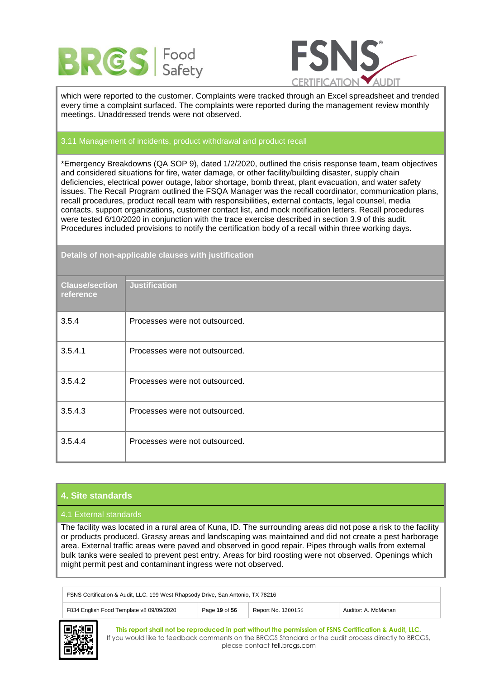



which were reported to the customer. Complaints were tracked through an Excel spreadsheet and trended every time a complaint surfaced. The complaints were reported during the management review monthly meetings. Unaddressed trends were not observed.

# 3.11 Management of incidents, product withdrawal and product recall

\*Emergency Breakdowns (QA SOP 9), dated 1/2/2020, outlined the crisis response team, team objectives and considered situations for fire, water damage, or other facility/building disaster, supply chain deficiencies, electrical power outage, labor shortage, bomb threat, plant evacuation, and water safety issues. The Recall Program outlined the FSQA Manager was the recall coordinator, communication plans, recall procedures, product recall team with responsibilities, external contacts, legal counsel, media contacts, support organizations, customer contact list, and mock notification letters. Recall procedures were tested 6/10/2020 in conjunction with the trace exercise described in section 3.9 of this audit. Procedures included provisions to notify the certification body of a recall within three working days.

# **Details of non-applicable clauses with justification**

| <b>Clause/section</b><br>reference | <b>Justification</b>           |
|------------------------------------|--------------------------------|
| 3.5.4                              | Processes were not outsourced. |
| 3.5.4.1                            | Processes were not outsourced. |
| 3.5.4.2                            | Processes were not outsourced. |
| 3.5.4.3                            | Processes were not outsourced. |
| 3.5.4.4                            | Processes were not outsourced. |

# **4. Site standards**

#### 4.1 External standards

The facility was located in a rural area of Kuna, ID. The surrounding areas did not pose a risk to the facility or products produced. Grassy areas and landscaping was maintained and did not create a pest harborage area. External traffic areas were paved and observed in good repair. Pipes through walls from external bulk tanks were sealed to prevent pest entry. Areas for bird roosting were not observed. Openings which might permit pest and contaminant ingress were not observed.

| FSNS Certification & Audit, LLC. 199 West Rhapsody Drive, San Antonio, TX 78216 |               |                    |                     |
|---------------------------------------------------------------------------------|---------------|--------------------|---------------------|
| F834 English Food Template v8 09/09/2020                                        | Page 19 of 56 | Report No. 1200156 | Auditor: A. McMahan |

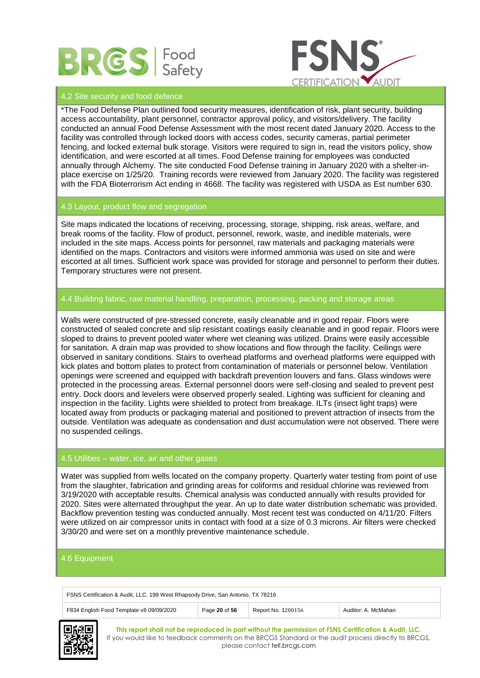



# 4.2 Site security and food defence

\*The Food Defense Plan outlined food security measures, identification of risk, plant security, building access accountability, plant personnel, contractor approval policy, and visitors/delivery. The facility conducted an annual Food Defense Assessment with the most recent dated January 2020. Access to the facility was controlled through locked doors with access codes, security cameras, partial perimeter fencing, and locked external bulk storage. Visitors were required to sign in, read the visitors policy, show identification, and were escorted at all times. Food Defense training for employees was conducted annually through Alchemy. The site conducted Food Defense training in January 2020 with a shelter-inplace exercise on 1/25/20. Training records were reviewed from January 2020. The facility was registered with the FDA Bioterrorism Act ending in 4668. The facility was registered with USDA as Est number 630.

# 4.3 Layout, product flow and segregation

Site maps indicated the locations of receiving, processing, storage, shipping, risk areas, welfare, and break rooms of the facility. Flow of product, personnel, rework, waste, and inedible materials, were included in the site maps. Access points for personnel, raw materials and packaging materials were identified on the maps. Contractors and visitors were informed ammonia was used on site and were escorted at all times. Sufficient work space was provided for storage and personnel to perform their duties. Temporary structures were not present.

# 4.4 Building fabric, raw material handling, preparation, processing, packing and storage areas

Walls were constructed of pre-stressed concrete, easily cleanable and in good repair. Floors were constructed of sealed concrete and slip resistant coatings easily cleanable and in good repair. Floors were sloped to drains to prevent pooled water where wet cleaning was utilized. Drains were easily accessible for sanitation. A drain map was provided to show locations and flow through the facility. Ceilings were observed in sanitary conditions. Stairs to overhead platforms and overhead platforms were equipped with kick plates and bottom plates to protect from contamination of materials or personnel below. Ventilation openings were screened and equipped with backdraft prevention louvers and fans. Glass windows were protected in the processing areas. External personnel doors were self-closing and sealed to prevent pest entry. Dock doors and levelers were observed properly sealed. Lighting was sufficient for cleaning and inspection in the facility. Lights were shielded to protect from breakage. ILTs (insect light traps) were located away from products or packaging material and positioned to prevent attraction of insects from the outside. Ventilation was adequate as condensation and dust accumulation were not observed. There were no suspended ceilings.

# 4.5 Utilities – water, ice, air and other gases

Water was supplied from wells located on the company property. Quarterly water testing from point of use from the slaughter, fabrication and grinding areas for coliforms and residual chlorine was reviewed from 3/19/2020 with acceptable results. Chemical analysis was conducted annually with results provided for 2020. Sites were alternated throughput the year. An up to date water distribution schematic was provided. Backflow prevention testing was conducted annually. Most recent test was conducted on 4/11/20. Filters were utilized on air compressor units in contact with food at a size of 0.3 microns. Air filters were checked 3/30/20 and were set on a monthly preventive maintenance schedule.

# 4.6 Equipment

FSNS Certification & Audit, LLC. 199 West Rhapsody Drive, San Antonio, TX 78216



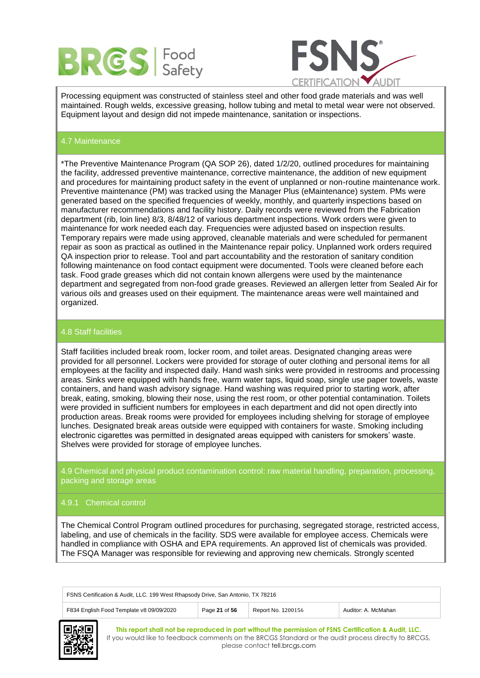



Processing equipment was constructed of stainless steel and other food grade materials and was well maintained. Rough welds, excessive greasing, hollow tubing and metal to metal wear were not observed. Equipment layout and design did not impede maintenance, sanitation or inspections.

# 4.7 Maintenance

\*The Preventive Maintenance Program (QA SOP 26), dated 1/2/20, outlined procedures for maintaining the facility, addressed preventive maintenance, corrective maintenance, the addition of new equipment and procedures for maintaining product safety in the event of unplanned or non-routine maintenance work. Preventive maintenance (PM) was tracked using the Manager Plus (eMaintenance) system. PMs were generated based on the specified frequencies of weekly, monthly, and quarterly inspections based on manufacturer recommendations and facility history. Daily records were reviewed from the Fabrication department (rib, loin line) 8/3, 8/48/12 of various department inspections. Work orders were given to maintenance for work needed each day. Frequencies were adjusted based on inspection results. Temporary repairs were made using approved, cleanable materials and were scheduled for permanent repair as soon as practical as outlined in the Maintenance repair policy. Unplanned work orders required QA inspection prior to release. Tool and part accountability and the restoration of sanitary condition following maintenance on food contact equipment were documented. Tools were cleaned before each task. Food grade greases which did not contain known allergens were used by the maintenance department and segregated from non-food grade greases. Reviewed an allergen letter from Sealed Air for various oils and greases used on their equipment. The maintenance areas were well maintained and organized.

#### 4.8 Staff facilities

Staff facilities included break room, locker room, and toilet areas. Designated changing areas were provided for all personnel. Lockers were provided for storage of outer clothing and personal items for all employees at the facility and inspected daily. Hand wash sinks were provided in restrooms and processing areas. Sinks were equipped with hands free, warm water taps, liquid soap, single use paper towels, waste containers, and hand wash advisory signage. Hand washing was required prior to starting work, after break, eating, smoking, blowing their nose, using the rest room, or other potential contamination. Toilets were provided in sufficient numbers for employees in each department and did not open directly into production areas. Break rooms were provided for employees including shelving for storage of employee lunches. Designated break areas outside were equipped with containers for waste. Smoking including electronic cigarettes was permitted in designated areas equipped with canisters for smokers' waste. Shelves were provided for storage of employee lunches.

4.9 Chemical and physical product contamination control: raw material handling, preparation, processing, packing and storage areas

#### 4.9.1 Chemical control

The Chemical Control Program outlined procedures for purchasing, segregated storage, restricted access, labeling, and use of chemicals in the facility. SDS were available for employee access. Chemicals were handled in compliance with OSHA and EPA requirements. An approved list of chemicals was provided. The FSQA Manager was responsible for reviewing and approving new chemicals. Strongly scented

| FSNS Certification & Audit, LLC. 199 West Rhapsody Drive, San Antonio, TX 78216                        |  |  |  |  |
|--------------------------------------------------------------------------------------------------------|--|--|--|--|
| F834 English Food Template v8 09/09/2020<br>Page 21 of 56<br>Report No. 1200156<br>Auditor: A. McMahan |  |  |  |  |
|                                                                                                        |  |  |  |  |

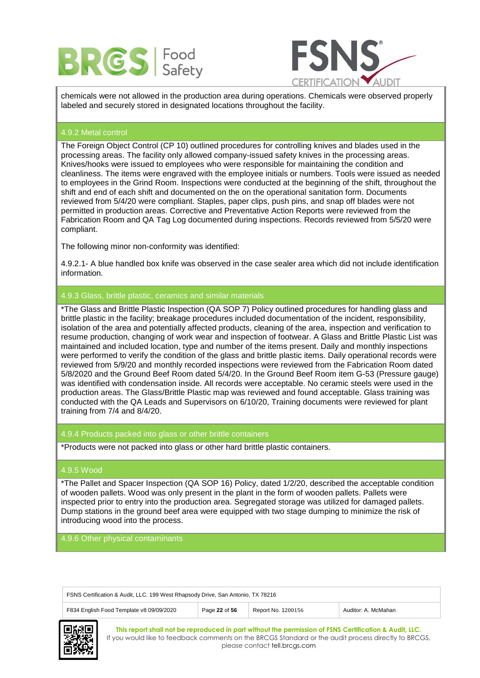



chemicals were not allowed in the production area during operations. Chemicals were observed properly labeled and securely stored in designated locations throughout the facility.

#### 4.9.2 Metal control

The Foreign Object Control (CP 10) outlined procedures for controlling knives and blades used in the processing areas. The facility only allowed company-issued safety knives in the processing areas. Knives/hooks were issued to employees who were responsible for maintaining the condition and cleanliness. The items were engraved with the employee initials or numbers. Tools were issued as needed to employees in the Grind Room. Inspections were conducted at the beginning of the shift, throughout the shift and end of each shift and documented on the on the operational sanitation form. Documents reviewed from 5/4/20 were compliant. Staples, paper clips, push pins, and snap off blades were not permitted in production areas. Corrective and Preventative Action Reports were reviewed from the Fabrication Room and QA Tag Log documented during inspections. Records reviewed from 5/5/20 were compliant.

The following minor non-conformity was identified:

4.9.2.1- A blue handled box knife was observed in the case sealer area which did not include identification information.

# 4.9.3 Glass, brittle plastic, ceramics and similar materials

\*The Glass and Brittle Plastic Inspection (QA SOP 7) Policy outlined procedures for handling glass and brittle plastic in the facility; breakage procedures included documentation of the incident, responsibility, isolation of the area and potentially affected products, cleaning of the area, inspection and verification to resume production, changing of work wear and inspection of footwear. A Glass and Brittle Plastic List was maintained and included location, type and number of the items present. Daily and monthly inspections were performed to verify the condition of the glass and brittle plastic items. Daily operational records were reviewed from 5/9/20 and monthly recorded inspections were reviewed from the Fabrication Room dated 5/8/2020 and the Ground Beef Room dated 5/4/20. In the Ground Beef Room item G-53 (Pressure gauge) was identified with condensation inside. All records were acceptable. No ceramic steels were used in the production areas. The Glass/Brittle Plastic map was reviewed and found acceptable. Glass training was conducted with the QA Leads and Supervisors on 6/10/20, Training documents were reviewed for plant training from 7/4 and 8/4/20.

4.9.4 Products packed into glass or other brittle containers

\*Products were not packed into glass or other hard brittle plastic containers.

# 4.9.5 Wood

\*The Pallet and Spacer Inspection (QA SOP 16) Policy, dated 1/2/20, described the acceptable condition of wooden pallets. Wood was only present in the plant in the form of wooden pallets. Pallets were inspected prior to entry into the production area. Segregated storage was utilized for damaged pallets. Dump stations in the ground beef area were equipped with two stage dumping to minimize the risk of introducing wood into the process.

4.9.6 Other physical contaminants

| FSNS Certification & Audit, LLC. 199 West Rhapsody Drive, San Antonio, TX 78216                        |  |  |  |
|--------------------------------------------------------------------------------------------------------|--|--|--|
| Page 22 of 56<br>F834 English Food Template v8 09/09/2020<br>Report No. 1200156<br>Auditor: A. McMahan |  |  |  |

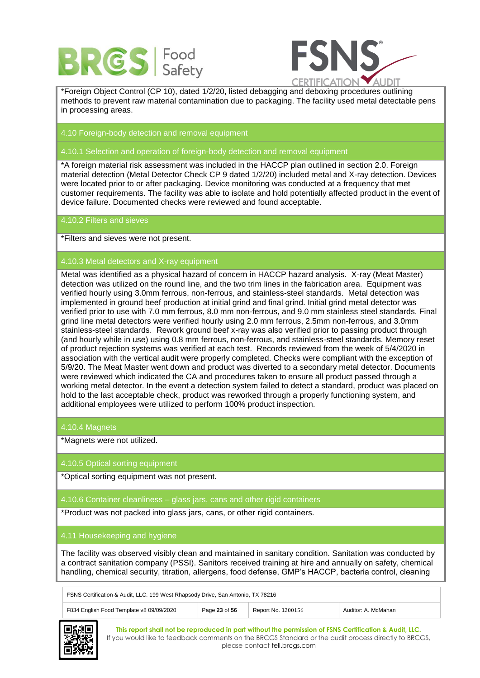



\*Foreign Object Control (CP 10), dated 1/2/20, listed debagging and deboxing procedures outlining methods to prevent raw material contamination due to packaging. The facility used metal detectable pens in processing areas.

4.10 Foreign-body detection and removal equipment

4.10.1 Selection and operation of foreign-body detection and removal equipment

\*A foreign material risk assessment was included in the HACCP plan outlined in section 2.0. Foreign material detection (Metal Detector Check CP 9 dated 1/2/20) included metal and X-ray detection. Devices were located prior to or after packaging. Device monitoring was conducted at a frequency that met customer requirements. The facility was able to isolate and hold potentially affected product in the event of device failure. Documented checks were reviewed and found acceptable.

# 4.10.2 Filters and sieves

\*Filters and sieves were not present.

# 4.10.3 Metal detectors and X-ray equipment

Metal was identified as a physical hazard of concern in HACCP hazard analysis. X-ray (Meat Master) detection was utilized on the round line, and the two trim lines in the fabrication area. Equipment was verified hourly using 3.0mm ferrous, non-ferrous, and stainless-steel standards. Metal detection was implemented in ground beef production at initial grind and final grind. Initial grind metal detector was verified prior to use with 7.0 mm ferrous, 8.0 mm non-ferrous, and 9.0 mm stainless steel standards. Final grind line metal detectors were verified hourly using 2.0 mm ferrous, 2.5mm non-ferrous, and 3.0mm stainless-steel standards. Rework ground beef x-ray was also verified prior to passing product through (and hourly while in use) using 0.8 mm ferrous, non-ferrous, and stainless-steel standards. Memory reset of product rejection systems was verified at each test. Records reviewed from the week of 5/4/2020 in association with the vertical audit were properly completed. Checks were compliant with the exception of 5/9/20. The Meat Master went down and product was diverted to a secondary metal detector. Documents were reviewed which indicated the CA and procedures taken to ensure all product passed through a working metal detector. In the event a detection system failed to detect a standard, product was placed on hold to the last acceptable check, product was reworked through a properly functioning system, and additional employees were utilized to perform 100% product inspection.

#### 4.10.4 Magnets

\*Magnets were not utilized.

#### 4.10.5 Optical sorting equipment

\*Optical sorting equipment was not present.

#### 4.10.6 Container cleanliness – glass jars, cans and other rigid containers

\*Product was not packed into glass jars, cans, or other rigid containers.

#### 4.11 Housekeeping and hygiene

The facility was observed visibly clean and maintained in sanitary condition. Sanitation was conducted by a contract sanitation company (PSSI). Sanitors received training at hire and annually on safety, chemical handling, chemical security, titration, allergens, food defense, GMP's HACCP, bacteria control, cleaning

| FSNS Certification & Audit, LLC. 199 West Rhapsody Drive, San Antonio, TX 78216 |               |                    |                     |  |
|---------------------------------------------------------------------------------|---------------|--------------------|---------------------|--|
| F834 English Food Template v8 09/09/2020                                        | Page 23 of 56 | Report No. 1200156 | Auditor: A. McMahan |  |

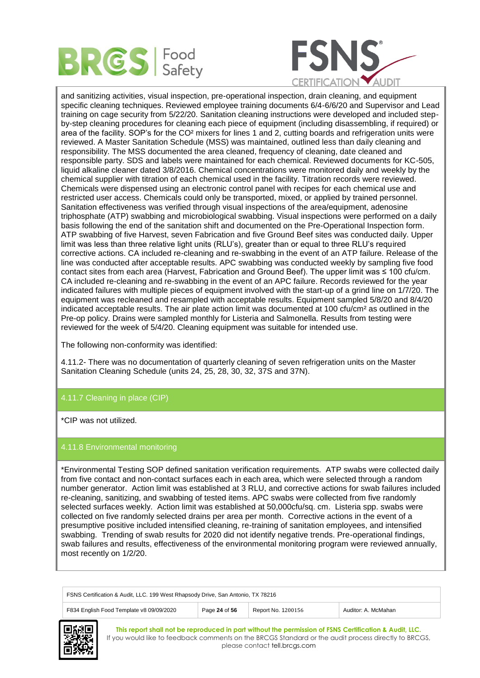



and sanitizing activities, visual inspection, pre-operational inspection, drain cleaning, and equipment specific cleaning techniques. Reviewed employee training documents 6/4-6/6/20 and Supervisor and Lead training on cage security from 5/22/20. Sanitation cleaning instructions were developed and included stepby-step cleaning procedures for cleaning each piece of equipment (including disassembling, if required) or area of the facility. SOP's for the CO² mixers for lines 1 and 2, cutting boards and refrigeration units were reviewed. A Master Sanitation Schedule (MSS) was maintained, outlined less than daily cleaning and responsibility. The MSS documented the area cleaned, frequency of cleaning, date cleaned and responsible party. SDS and labels were maintained for each chemical. Reviewed documents for KC-505, liquid alkaline cleaner dated 3/8/2016. Chemical concentrations were monitored daily and weekly by the chemical supplier with titration of each chemical used in the facility. Titration records were reviewed. Chemicals were dispensed using an electronic control panel with recipes for each chemical use and restricted user access. Chemicals could only be transported, mixed, or applied by trained personnel. Sanitation effectiveness was verified through visual inspections of the area/equipment, adenosine triphosphate (ATP) swabbing and microbiological swabbing. Visual inspections were performed on a daily basis following the end of the sanitation shift and documented on the Pre-Operational Inspection form. ATP swabbing of five Harvest, seven Fabrication and five Ground Beef sites was conducted daily. Upper limit was less than three relative light units (RLU's), greater than or equal to three RLU's required corrective actions. CA included re-cleaning and re-swabbing in the event of an ATP failure. Release of the line was conducted after acceptable results. APC swabbing was conducted weekly by sampling five food contact sites from each area (Harvest, Fabrication and Ground Beef). The upper limit was ≤ 100 cfu/cm. CA included re-cleaning and re-swabbing in the event of an APC failure. Records reviewed for the year indicated failures with multiple pieces of equipment involved with the start-up of a grind line on 1/7/20. The equipment was recleaned and resampled with acceptable results. Equipment sampled 5/8/20 and 8/4/20 indicated acceptable results. The air plate action limit was documented at 100 cfu/cm² as outlined in the Pre-op policy. Drains were sampled monthly for Listeria and Salmonella. Results from testing were reviewed for the week of 5/4/20. Cleaning equipment was suitable for intended use.

The following non-conformity was identified:

4.11.2- There was no documentation of quarterly cleaning of seven refrigeration units on the Master Sanitation Cleaning Schedule (units 24, 25, 28, 30, 32, 37S and 37N).

# 4.11.7 Cleaning in place (CIP)

\*CIP was not utilized.

# 4.11.8 Environmental monitoring

\*Environmental Testing SOP defined sanitation verification requirements. ATP swabs were collected daily from five contact and non-contact surfaces each in each area, which were selected through a random number generator. Action limit was established at 3 RLU, and corrective actions for swab failures included re-cleaning, sanitizing, and swabbing of tested items. APC swabs were collected from five randomly selected surfaces weekly. Action limit was established at 50,000cfu/sq. cm. Listeria spp. swabs were collected on five randomly selected drains per area per month. Corrective actions in the event of a presumptive positive included intensified cleaning, re-training of sanitation employees, and intensified swabbing. Trending of swab results for 2020 did not identify negative trends. Pre-operational findings, swab failures and results, effectiveness of the environmental monitoring program were reviewed annually, most recently on 1/2/20.

FSNS Certification & Audit, LLC. 199 West Rhapsody Drive, San Antonio, TX 78216 F834 English Food Template v8 09/09/2020 Page 24 of 56 Report No. 1200156 Auditor: A. McMahan

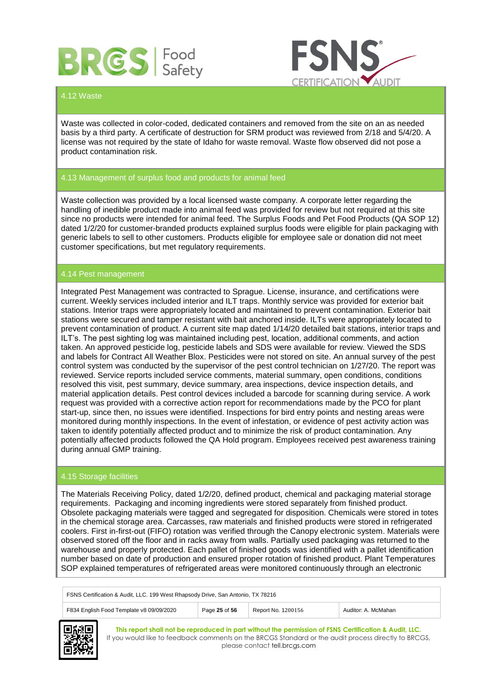



# 4.12 Waste

Waste was collected in color-coded, dedicated containers and removed from the site on an as needed basis by a third party. A certificate of destruction for SRM product was reviewed from 2/18 and 5/4/20. A license was not required by the state of Idaho for waste removal. Waste flow observed did not pose a product contamination risk.

# 4.13 Management of surplus food and products for animal feed

Waste collection was provided by a local licensed waste company. A corporate letter regarding the handling of inedible product made into animal feed was provided for review but not required at this site since no products were intended for animal feed. The Surplus Foods and Pet Food Products (QA SOP 12) dated 1/2/20 for customer-branded products explained surplus foods were eligible for plain packaging with generic labels to sell to other customers. Products eligible for employee sale or donation did not meet customer specifications, but met regulatory requirements.

#### 4.14 Pest management

Integrated Pest Management was contracted to Sprague. License, insurance, and certifications were current. Weekly services included interior and ILT traps. Monthly service was provided for exterior bait stations. Interior traps were appropriately located and maintained to prevent contamination. Exterior bait stations were secured and tamper resistant with bait anchored inside. ILTs were appropriately located to prevent contamination of product. A current site map dated 1/14/20 detailed bait stations, interior traps and ILT's. The pest sighting log was maintained including pest, location, additional comments, and action taken. An approved pesticide log, pesticide labels and SDS were available for review. Viewed the SDS and labels for Contract All Weather Blox. Pesticides were not stored on site. An annual survey of the pest control system was conducted by the supervisor of the pest control technician on 1/27/20. The report was reviewed. Service reports included service comments, material summary, open conditions, conditions resolved this visit, pest summary, device summary, area inspections, device inspection details, and material application details. Pest control devices included a barcode for scanning during service. A work request was provided with a corrective action report for recommendations made by the PCO for plant start-up, since then, no issues were identified. Inspections for bird entry points and nesting areas were monitored during monthly inspections. In the event of infestation, or evidence of pest activity action was taken to identify potentially affected product and to minimize the risk of product contamination. Any potentially affected products followed the QA Hold program. Employees received pest awareness training during annual GMP training.

#### 4.15 Storage facilities

The Materials Receiving Policy, dated 1/2/20, defined product, chemical and packaging material storage requirements. Packaging and incoming ingredients were stored separately from finished product. Obsolete packaging materials were tagged and segregated for disposition. Chemicals were stored in totes in the chemical storage area. Carcasses, raw materials and finished products were stored in refrigerated coolers. First in-first-out (FIFO) rotation was verified through the Canopy electronic system. Materials were observed stored off the floor and in racks away from walls. Partially used packaging was returned to the warehouse and properly protected. Each pallet of finished goods was identified with a pallet identification number based on date of production and ensured proper rotation of finished product. Plant Temperatures SOP explained temperatures of refrigerated areas were monitored continuously through an electronic

| FSNS Certification & Audit, LLC. 199 West Rhapsody Drive, San Antonio, TX 78216                        |  |  |  |  |
|--------------------------------------------------------------------------------------------------------|--|--|--|--|
| F834 English Food Template v8 09/09/2020<br>Page 25 of 56<br>Report No. 1200156<br>Auditor: A. McMahan |  |  |  |  |

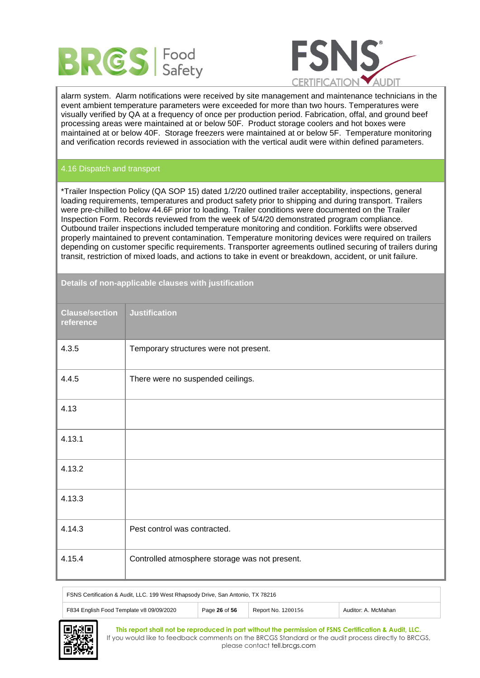



alarm system. Alarm notifications were received by site management and maintenance technicians in the event ambient temperature parameters were exceeded for more than two hours. Temperatures were visually verified by QA at a frequency of once per production period. Fabrication, offal, and ground beef processing areas were maintained at or below 50F. Product storage coolers and hot boxes were maintained at or below 40F. Storage freezers were maintained at or below 5F. Temperature monitoring and verification records reviewed in association with the vertical audit were within defined parameters.

# 4.16 Dispatch and transport

\*Trailer Inspection Policy (QA SOP 15) dated 1/2/20 outlined trailer acceptability, inspections, general loading requirements, temperatures and product safety prior to shipping and during transport. Trailers were pre-chilled to below 44.6F prior to loading. Trailer conditions were documented on the Trailer Inspection Form. Records reviewed from the week of 5/4/20 demonstrated program compliance. Outbound trailer inspections included temperature monitoring and condition. Forklifts were observed properly maintained to prevent contamination. Temperature monitoring devices were required on trailers depending on customer specific requirements. Transporter agreements outlined securing of trailers during transit, restriction of mixed loads, and actions to take in event or breakdown, accident, or unit failure.

| <b>Clause/section</b><br>reference | <b>Justification</b>                           |
|------------------------------------|------------------------------------------------|
| 4.3.5                              | Temporary structures were not present.         |
| 4.4.5                              | There were no suspended ceilings.              |
| 4.13                               |                                                |
| 4.13.1                             |                                                |
| 4.13.2                             |                                                |
| 4.13.3                             |                                                |
| 4.14.3                             | Pest control was contracted.                   |
| 4.15.4                             | Controlled atmosphere storage was not present. |

**Details of non-applicable clauses with justification**

| FSNS Certification & Audit, LLC. 199 West Rhapsody Drive, San Antonio, TX 78216 |  |
|---------------------------------------------------------------------------------|--|
|                                                                                 |  |

| F834 English Food Template v8 09/09/2020 | Page 26 of 56 | Report No. 1200156 | McMahan<br>Auditor: A |
|------------------------------------------|---------------|--------------------|-----------------------|
|------------------------------------------|---------------|--------------------|-----------------------|

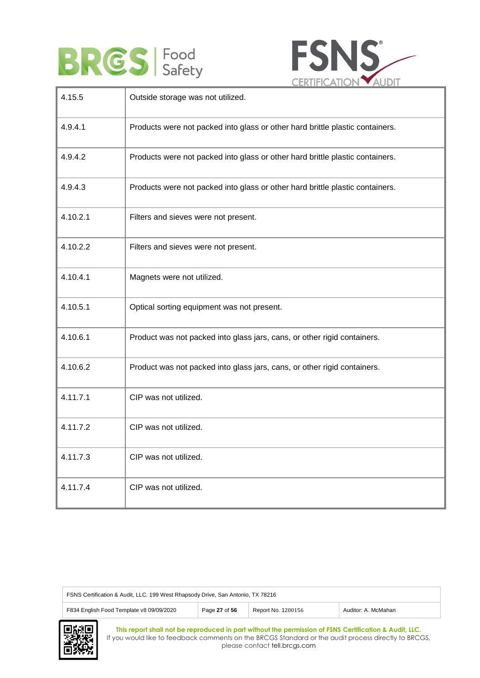



| 4.15.5   | Outside storage was not utilized.                                             |
|----------|-------------------------------------------------------------------------------|
| 4.9.4.1  | Products were not packed into glass or other hard brittle plastic containers. |
| 4.9.4.2  | Products were not packed into glass or other hard brittle plastic containers. |
| 4.9.4.3  | Products were not packed into glass or other hard brittle plastic containers. |
| 4.10.2.1 | Filters and sieves were not present.                                          |
| 4.10.2.2 | Filters and sieves were not present.                                          |
| 4.10.4.1 | Magnets were not utilized.                                                    |
| 4.10.5.1 | Optical sorting equipment was not present.                                    |
| 4.10.6.1 | Product was not packed into glass jars, cans, or other rigid containers.      |
| 4.10.6.2 | Product was not packed into glass jars, cans, or other rigid containers.      |
| 4.11.7.1 | CIP was not utilized.                                                         |
| 4.11.7.2 | CIP was not utilized.                                                         |
| 4.11.7.3 | CIP was not utilized.                                                         |
| 4.11.7.4 | CIP was not utilized.                                                         |

| FSNS Certification & Audit, LLC. 199 West Rhapsody Drive, San Antonio, TX 78216                        |  |  |  |  |
|--------------------------------------------------------------------------------------------------------|--|--|--|--|
| F834 English Food Template v8 09/09/2020<br>Page 27 of 56<br>Report No. 1200156<br>Auditor: A. McMahan |  |  |  |  |
|                                                                                                        |  |  |  |  |

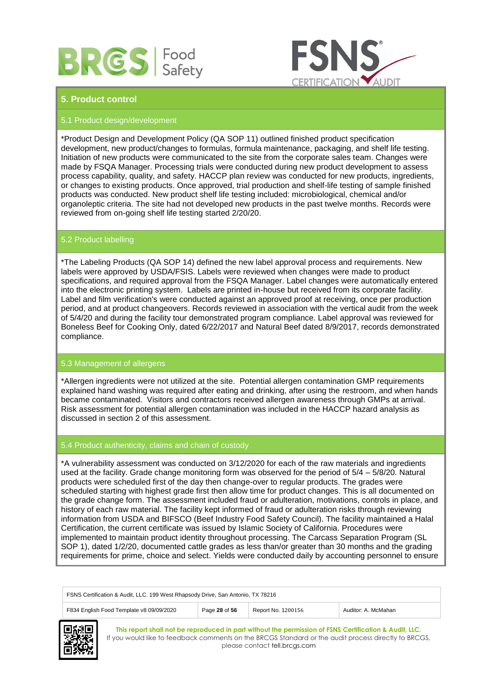



# **5. Product control**

# 5.1 Product design/development

\*Product Design and Development Policy (QA SOP 11) outlined finished product specification development, new product/changes to formulas, formula maintenance, packaging, and shelf life testing. Initiation of new products were communicated to the site from the corporate sales team. Changes were made by FSQA Manager. Processing trials were conducted during new product development to assess process capability, quality, and safety. HACCP plan review was conducted for new products, ingredients, or changes to existing products. Once approved, trial production and shelf-life testing of sample finished products was conducted. New product shelf life testing included: microbiological, chemical and/or organoleptic criteria. The site had not developed new products in the past twelve months. Records were reviewed from on-going shelf life testing started 2/20/20.

# 5.2 Product labelling

\*The Labeling Products (QA SOP 14) defined the new label approval process and requirements. New labels were approved by USDA/FSIS. Labels were reviewed when changes were made to product specifications, and required approval from the FSQA Manager. Label changes were automatically entered into the electronic printing system. Labels are printed in-house but received from its corporate facility. Label and film verification's were conducted against an approved proof at receiving, once per production period, and at product changeovers. Records reviewed in association with the vertical audit from the week of 5/4/20 and during the facility tour demonstrated program compliance. Label approval was reviewed for Boneless Beef for Cooking Only, dated 6/22/2017 and Natural Beef dated 8/9/2017, records demonstrated compliance.

# 5.3 Management of allergens

\*Allergen ingredients were not utilized at the site. Potential allergen contamination GMP requirements explained hand washing was required after eating and drinking, after using the restroom, and when hands became contaminated. Visitors and contractors received allergen awareness through GMPs at arrival. Risk assessment for potential allergen contamination was included in the HACCP hazard analysis as discussed in section 2 of this assessment.

### 5.4 Product authenticity, claims and chain of custody

\*A vulnerability assessment was conducted on 3/12/2020 for each of the raw materials and ingredients used at the facility. Grade change monitoring form was observed for the period of 5/4 – 5/8/20. Natural products were scheduled first of the day then change-over to regular products. The grades were scheduled starting with highest grade first then allow time for product changes. This is all documented on the grade change form. The assessment included fraud or adulteration, motivations, controls in place, and history of each raw material. The facility kept informed of fraud or adulteration risks through reviewing information from USDA and BIFSCO (Beef Industry Food Safety Council). The facility maintained a Halal Certification, the current certificate was issued by Islamic Society of California. Procedures were implemented to maintain product identity throughout processing. The Carcass Separation Program (SL SOP 1), dated 1/2/20, documented cattle grades as less than/or greater than 30 months and the grading requirements for prime, choice and select. Yields were conducted daily by accounting personnel to ensure

| FSNS Certification & Audit, LLC. 199 West Rhapsody Drive, San Antonio, TX 78216                        |  |  |  |  |
|--------------------------------------------------------------------------------------------------------|--|--|--|--|
| F834 English Food Template v8 09/09/2020<br>Page 28 of 56<br>Report No. 1200156<br>Auditor: A. McMahan |  |  |  |  |
|                                                                                                        |  |  |  |  |

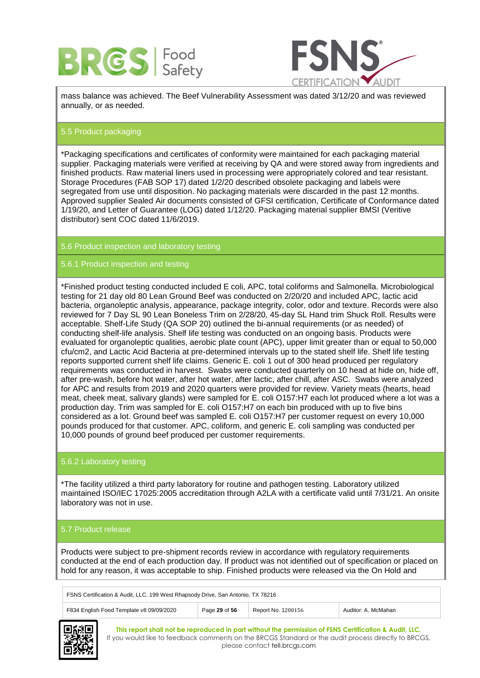



mass balance was achieved. The Beef Vulnerability Assessment was dated 3/12/20 and was reviewed annually, or as needed.

# 5.5 Product packaging

\*Packaging specifications and certificates of conformity were maintained for each packaging material supplier. Packaging materials were verified at receiving by QA and were stored away from ingredients and finished products. Raw material liners used in processing were appropriately colored and tear resistant. Storage Procedures (FAB SOP 17) dated 1/2/20 described obsolete packaging and labels were segregated from use until disposition. No packaging materials were discarded in the past 12 months. Approved supplier Sealed Air documents consisted of GFSI certification, Certificate of Conformance dated 1/19/20, and Letter of Guarantee (LOG) dated 1/12/20. Packaging material supplier BMSI (Veritive distributor) sent COC dated 11/6/2019.

# 5.6 Product inspection and laboratory testing

# 5.6.1 Product inspection and testing

\*Finished product testing conducted included E coli, APC, total coliforms and Salmonella. Microbiological testing for 21 day old 80 Lean Ground Beef was conducted on 2/20/20 and included APC, lactic acid bacteria, organoleptic analysis, appearance, package integrity, color, odor and texture. Records were also reviewed for 7 Day SL 90 Lean Boneless Trim on 2/28/20, 45-day SL Hand trim Shuck Roll. Results were acceptable. Shelf-Life Study (QA SOP 20) outlined the bi-annual requirements (or as needed) of conducting shelf-life analysis. Shelf life testing was conducted on an ongoing basis. Products were evaluated for organoleptic qualities, aerobic plate count (APC), upper limit greater than or equal to 50,000 cfu/cm2, and Lactic Acid Bacteria at pre-determined intervals up to the stated shelf life. Shelf life testing reports supported current shelf life claims. Generic E. coli 1 out of 300 head produced per regulatory requirements was conducted in harvest. Swabs were conducted quarterly on 10 head at hide on, hide off, after pre-wash, before hot water, after hot water, after lactic, after chill, after ASC. Swabs were analyzed for APC and results from 2019 and 2020 quarters were provided for review. Variety meats (hearts, head meat, cheek meat, salivary glands) were sampled for E. coli O157:H7 each lot produced where a lot was a production day. Trim was sampled for E. coli O157:H7 on each bin produced with up to five bins considered as a lot. Ground beef was sampled E. coli O157:H7 per customer request on every 10,000 pounds produced for that customer. APC, coliform, and generic E. coli sampling was conducted per 10,000 pounds of ground beef produced per customer requirements.

#### 5.6.2 Laboratory testing

\*The facility utilized a third party laboratory for routine and pathogen testing. Laboratory utilized maintained ISO/IEC 17025:2005 accreditation through A2LA with a certificate valid until 7/31/21. An onsite laboratory was not in use.

#### 5.7 Product release

Products were subject to pre-shipment records review in accordance with regulatory requirements conducted at the end of each production day. If product was not identified out of specification or placed on hold for any reason, it was acceptable to ship. Finished products were released via the On Hold and

| FSNS Certification & Audit, LLC. 199 West Rhapsody Drive, San Antonio, TX 78216 |               |                    |                     |
|---------------------------------------------------------------------------------|---------------|--------------------|---------------------|
| F834 English Food Template v8 09/09/2020                                        | Page 29 of 56 | Report No. 1200156 | Auditor: A. McMahan |

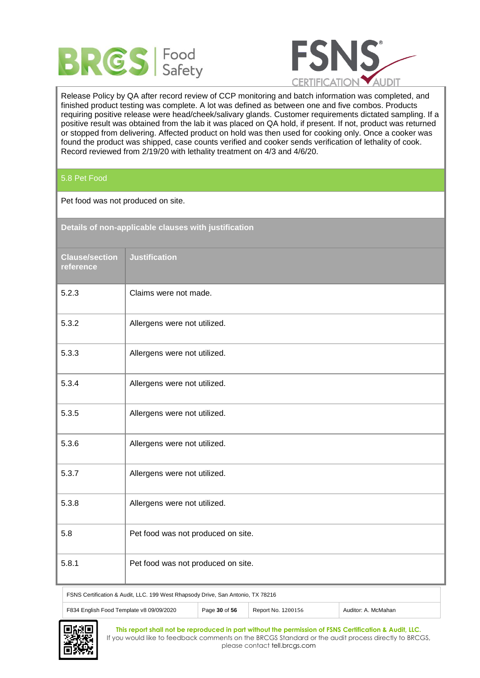



Release Policy by QA after record review of CCP monitoring and batch information was completed, and finished product testing was complete. A lot was defined as between one and five combos. Products requiring positive release were head/cheek/salivary glands. Customer requirements dictated sampling. If a positive result was obtained from the lab it was placed on QA hold, if present. If not, product was returned or stopped from delivering. Affected product on hold was then used for cooking only. Once a cooker was found the product was shipped, case counts verified and cooker sends verification of lethality of cook. Record reviewed from 2/19/20 with lethality treatment on 4/3 and 4/6/20.

5.8 Pet Food

Pet food was not produced on site.

| Details of non-applicable clauses with justification |                                    |  |
|------------------------------------------------------|------------------------------------|--|
| <b>Clause/section</b><br>reference                   | <b>Justification</b>               |  |
| 5.2.3                                                | Claims were not made.              |  |
| 5.3.2                                                | Allergens were not utilized.       |  |
| 5.3.3                                                | Allergens were not utilized.       |  |
| 5.3.4                                                | Allergens were not utilized.       |  |
| 5.3.5                                                | Allergens were not utilized.       |  |
| 5.3.6                                                | Allergens were not utilized.       |  |
| 5.3.7                                                | Allergens were not utilized.       |  |
| 5.3.8                                                | Allergens were not utilized.       |  |
| 5.8                                                  | Pet food was not produced on site. |  |
| 5.8.1                                                | Pet food was not produced on site. |  |

FSNS Certification & Audit, LLC. 199 West Rhapsody Drive, San Antonio, TX 78216



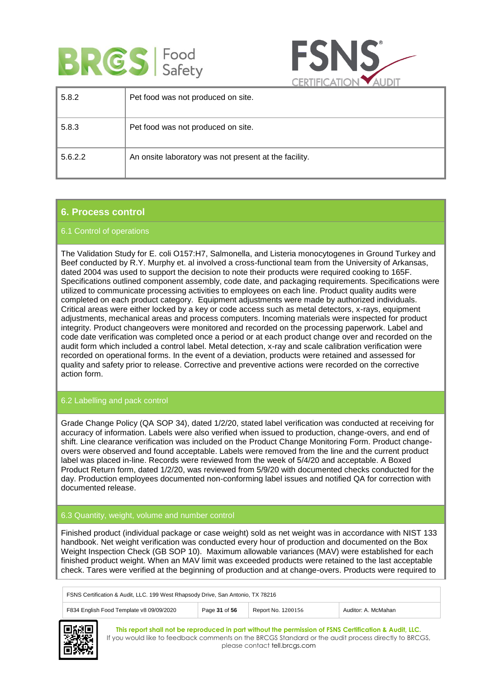



|         | ___                                                   |
|---------|-------------------------------------------------------|
| 5.8.2   | Pet food was not produced on site.                    |
| 5.8.3   | Pet food was not produced on site.                    |
| 5.6.2.2 | An onsite laboratory was not present at the facility. |

# **6. Process control**

# 6.1 Control of operations

The Validation Study for E. coli O157:H7, Salmonella, and Listeria monocytogenes in Ground Turkey and Beef conducted by R.Y. Murphy et. al involved a cross-functional team from the University of Arkansas, dated 2004 was used to support the decision to note their products were required cooking to 165F. Specifications outlined component assembly, code date, and packaging requirements. Specifications were utilized to communicate processing activities to employees on each line. Product quality audits were completed on each product category. Equipment adjustments were made by authorized individuals. Critical areas were either locked by a key or code access such as metal detectors, x-rays, equipment adjustments, mechanical areas and process computers. Incoming materials were inspected for product integrity. Product changeovers were monitored and recorded on the processing paperwork. Label and code date verification was completed once a period or at each product change over and recorded on the audit form which included a control label. Metal detection, x-ray and scale calibration verification were recorded on operational forms. In the event of a deviation, products were retained and assessed for quality and safety prior to release. Corrective and preventive actions were recorded on the corrective action form.

# 6.2 Labelling and pack control

Grade Change Policy (QA SOP 34), dated 1/2/20, stated label verification was conducted at receiving for accuracy of information. Labels were also verified when issued to production, change-overs, and end of shift. Line clearance verification was included on the Product Change Monitoring Form. Product changeovers were observed and found acceptable. Labels were removed from the line and the current product label was placed in-line. Records were reviewed from the week of 5/4/20 and acceptable. A Boxed Product Return form, dated 1/2/20, was reviewed from 5/9/20 with documented checks conducted for the day. Production employees documented non-conforming label issues and notified QA for correction with documented release.

# 6.3 Quantity, weight, volume and number control

Finished product (individual package or case weight) sold as net weight was in accordance with NIST 133 handbook. Net weight verification was conducted every hour of production and documented on the Box Weight Inspection Check (GB SOP 10). Maximum allowable variances (MAV) were established for each finished product weight. When an MAV limit was exceeded products were retained to the last acceptable check. Tares were verified at the beginning of production and at change-overs. Products were required to

| FSNS Certification & Audit, LLC. 199 West Rhapsody Drive, San Antonio, TX 78216 |               |                    |                     |  |
|---------------------------------------------------------------------------------|---------------|--------------------|---------------------|--|
| F834 English Food Template v8 09/09/2020                                        | Page 31 of 56 | Report No. 1200156 | Auditor: A. McMahan |  |

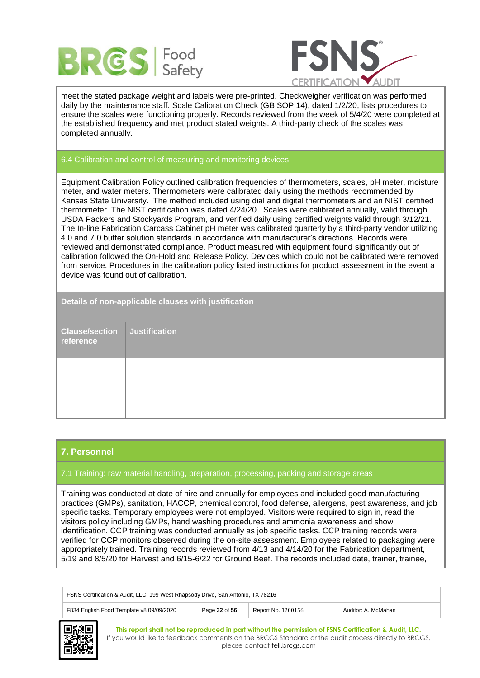



meet the stated package weight and labels were pre-printed. Checkweigher verification was performed daily by the maintenance staff. Scale Calibration Check (GB SOP 14), dated 1/2/20, lists procedures to ensure the scales were functioning properly. Records reviewed from the week of 5/4/20 were completed at the established frequency and met product stated weights. A third-party check of the scales was completed annually.

# 6.4 Calibration and control of measuring and monitoring devices

Equipment Calibration Policy outlined calibration frequencies of thermometers, scales, pH meter, moisture meter, and water meters. Thermometers were calibrated daily using the methods recommended by Kansas State University. The method included using dial and digital thermometers and an NIST certified thermometer. The NIST certification was dated 4/24/20. Scales were calibrated annually, valid through USDA Packers and Stockyards Program, and verified daily using certified weights valid through 3/12/21. The In-line Fabrication Carcass Cabinet pH meter was calibrated quarterly by a third-party vendor utilizing 4.0 and 7.0 buffer solution standards in accordance with manufacturer's directions. Records were reviewed and demonstrated compliance. Product measured with equipment found significantly out of calibration followed the On-Hold and Release Policy. Devices which could not be calibrated were removed from service. Procedures in the calibration policy listed instructions for product assessment in the event a device was found out of calibration.

| Details of non-applicable clauses with justification |                      |  |  |
|------------------------------------------------------|----------------------|--|--|
| <b>Clause/section</b><br>reference                   | <b>Justification</b> |  |  |
|                                                      |                      |  |  |
|                                                      |                      |  |  |

# **7. Personnel**

# 7.1 Training: raw material handling, preparation, processing, packing and storage areas

Training was conducted at date of hire and annually for employees and included good manufacturing practices (GMPs), sanitation, HACCP, chemical control, food defense, allergens, pest awareness, and job specific tasks. Temporary employees were not employed. Visitors were required to sign in, read the visitors policy including GMPs, hand washing procedures and ammonia awareness and show identification. CCP training was conducted annually as job specific tasks. CCP training records were verified for CCP monitors observed during the on-site assessment. Employees related to packaging were appropriately trained. Training records reviewed from 4/13 and 4/14/20 for the Fabrication department, 5/19 and 8/5/20 for Harvest and 6/15-6/22 for Ground Beef. The records included date, trainer, trainee,

| FSNS Certification & Audit, LLC. 199 West Rhapsody Drive, San Antonio, TX 78216                        |  |  |  |  |
|--------------------------------------------------------------------------------------------------------|--|--|--|--|
| F834 English Food Template v8 09/09/2020<br>Page 32 of 56<br>Report No. 1200156<br>Auditor: A. McMahan |  |  |  |  |
| ----                                                                                                   |  |  |  |  |

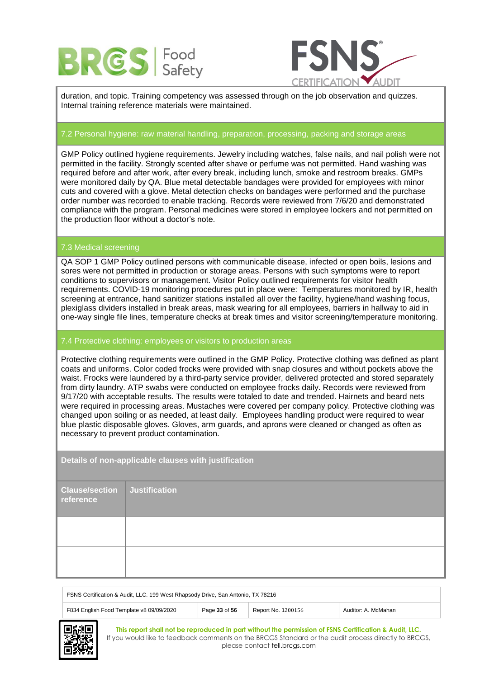



duration, and topic. Training competency was assessed through on the job observation and quizzes. Internal training reference materials were maintained.

# 7.2 Personal hygiene: raw material handling, preparation, processing, packing and storage areas

GMP Policy outlined hygiene requirements. Jewelry including watches, false nails, and nail polish were not permitted in the facility. Strongly scented after shave or perfume was not permitted. Hand washing was required before and after work, after every break, including lunch, smoke and restroom breaks. GMPs were monitored daily by QA. Blue metal detectable bandages were provided for employees with minor cuts and covered with a glove. Metal detection checks on bandages were performed and the purchase order number was recorded to enable tracking. Records were reviewed from 7/6/20 and demonstrated compliance with the program. Personal medicines were stored in employee lockers and not permitted on the production floor without a doctor's note.

# 7.3 Medical screening

QA SOP 1 GMP Policy outlined persons with communicable disease, infected or open boils, lesions and sores were not permitted in production or storage areas. Persons with such symptoms were to report conditions to supervisors or management. Visitor Policy outlined requirements for visitor health requirements. COVID-19 monitoring procedures put in place were: Temperatures monitored by IR, health screening at entrance, hand sanitizer stations installed all over the facility, hygiene/hand washing focus, plexiglass dividers installed in break areas, mask wearing for all employees, barriers in hallway to aid in one-way single file lines, temperature checks at break times and visitor screening/temperature monitoring.

#### 7.4 Protective clothing: employees or visitors to production areas

Protective clothing requirements were outlined in the GMP Policy. Protective clothing was defined as plant coats and uniforms. Color coded frocks were provided with snap closures and without pockets above the waist. Frocks were laundered by a third-party service provider, delivered protected and stored separately from dirty laundry. ATP swabs were conducted on employee frocks daily. Records were reviewed from 9/17/20 with acceptable results. The results were totaled to date and trended. Hairnets and beard nets were required in processing areas. Mustaches were covered per company policy. Protective clothing was changed upon soiling or as needed, at least daily. Employees handling product were required to wear blue plastic disposable gloves. Gloves, arm guards, and aprons were cleaned or changed as often as necessary to prevent product contamination.

**Details of non-applicable clauses with justification Clause/section reference Justification**

| FSNS Certification & Audit, LLC. 199 West Rhapsody Drive, San Antonio, TX 78216 |               |                    |                     |
|---------------------------------------------------------------------------------|---------------|--------------------|---------------------|
| F834 English Food Template v8 09/09/2020                                        | Page 33 of 56 | Report No. 1200156 | Auditor: A. McMahan |

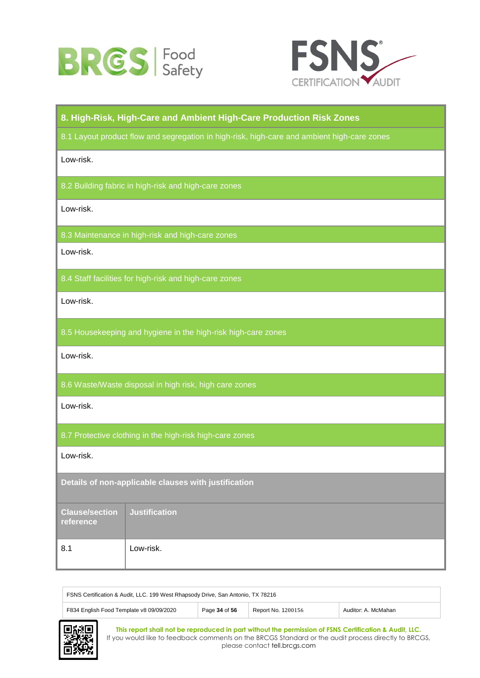



# **8. High-Risk, High-Care and Ambient High-Care Production Risk Zones** 8.1 Layout product flow and segregation in high-risk, high-care and ambient high-care zones Low-risk. 8.2 Building fabric in high-risk and high-care zones Low-risk. 8.3 Maintenance in high-risk and high-care zones Low-risk. 8.4 Staff facilities for high-risk and high-care zones Low-risk. 8.5 Housekeeping and hygiene in the high-risk high-care zones Low-risk. 8.6 Waste/Waste disposal in high risk, high care zones Low-risk. 8.7 Protective clothing in the high-risk high-care zones Low-risk. **Details of non-applicable clauses with justification Clause/section reference Justification** 8.1 Low-risk.

| FSNS Certification & Audit, LLC. 199 West Rhapsody Drive, San Antonio, TX 78216                        |  |  |  |  |
|--------------------------------------------------------------------------------------------------------|--|--|--|--|
| Page 34 of 56<br>F834 English Food Template v8 09/09/2020<br>Report No. 1200156<br>Auditor: A. McMahan |  |  |  |  |

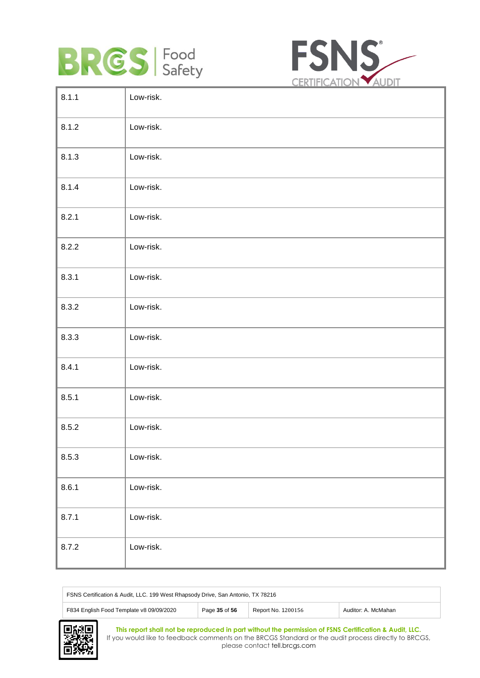



| Low-risk. |
|-----------|
| Low-risk. |
| Low-risk. |
| Low-risk. |
| Low-risk. |
| Low-risk. |
| Low-risk. |
| Low-risk. |
| Low-risk. |
| Low-risk. |
| Low-risk. |
| Low-risk. |
| Low-risk. |
| Low-risk. |
| Low-risk. |
| Low-risk. |
|           |

| FSNS Certification & Audit, LLC. 199 West Rhapsody Drive, San Antonio, TX 78216                        |  |  |  |  |
|--------------------------------------------------------------------------------------------------------|--|--|--|--|
| F834 English Food Template v8 09/09/2020<br>Page 35 of 56<br>Report No. 1200156<br>Auditor: A. McMahan |  |  |  |  |

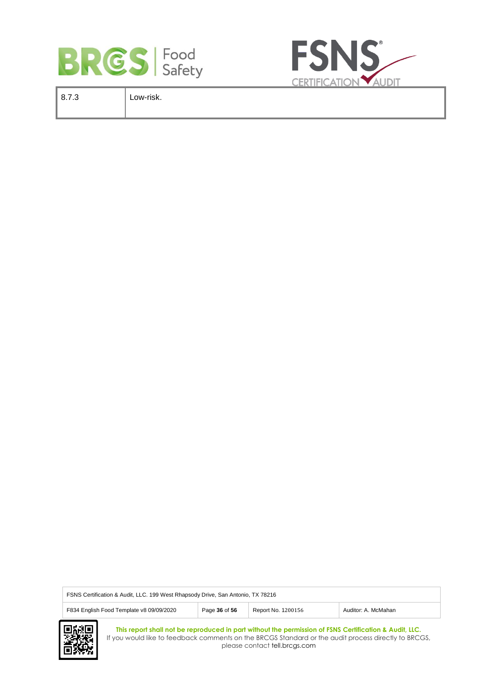



| 8.7.3 | Low-risk. |
|-------|-----------|
|       |           |

| FSNS Certification & Audit, LLC. 199 West Rhapsody Drive, San Antonio, TX 78216 |               |                    |                     |  |
|---------------------------------------------------------------------------------|---------------|--------------------|---------------------|--|
| F834 English Food Template v8 09/09/2020                                        | Page 36 of 56 | Report No. 1200156 | Auditor: A. McMahan |  |

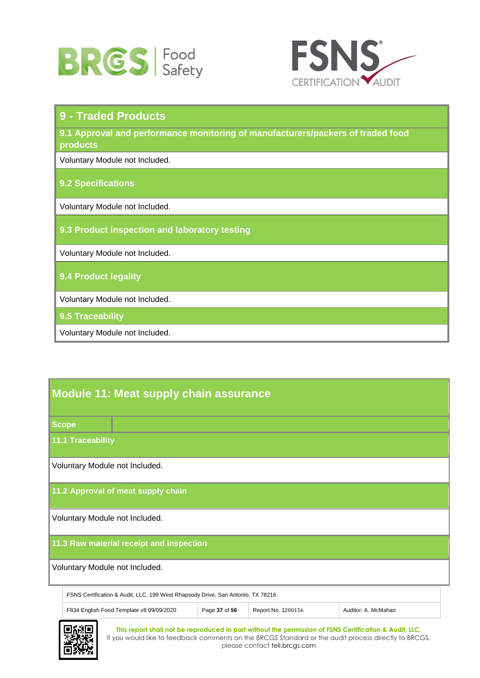



| 9 - Traded Products                                                                         |
|---------------------------------------------------------------------------------------------|
| 9.1 Approval and performance monitoring of manufacturers/packers of traded food<br>products |
| Voluntary Module not Included.                                                              |
| <b>9.2 Specifications</b>                                                                   |
| Voluntary Module not Included.                                                              |
| 9.3 Product inspection and laboratory testing                                               |
| Voluntary Module not Included.                                                              |
| 9.4 Product legality                                                                        |
| Voluntary Module not Included.                                                              |
| 9.5 Traceability                                                                            |
| Voluntary Module not Included.                                                              |

# **Module 11: Meat supply chain assurance**

**Scope**

**11.1 Traceability**

Voluntary Module not Included.

**11.2 Approval of meat supply chain**

Voluntary Module not Included.

# **11.3 Raw material receipt and inspection**

Voluntary Module not Included.

| FSNS Certification & Audit, LLC. 199 West Rhapsody Drive, San Antonio, TX 78216 |  |                    |                     |  |
|---------------------------------------------------------------------------------|--|--------------------|---------------------|--|
| F834 English Food Template v8 09/09/2020<br>Page 37 of 56                       |  | Report No. 1200156 | Auditor: A. McMahan |  |

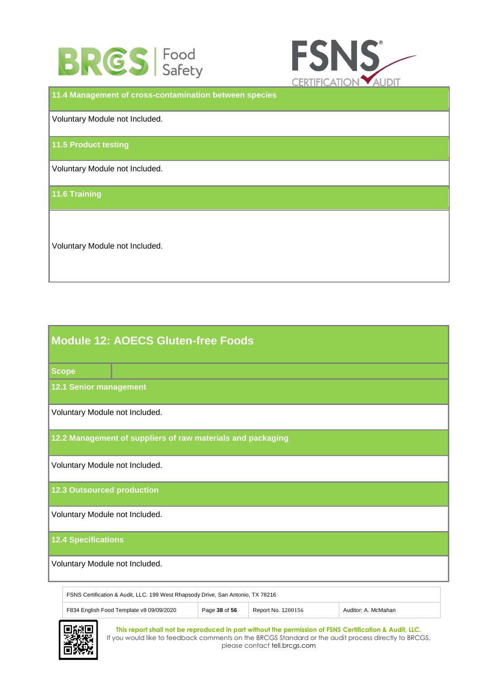



**11.4 Management of cross-contamination between species** Voluntary Module not Included. **11.5 Product testing** Voluntary Module not Included. **11.6 Training** Voluntary Module not Included.

| <b>Module 12: AOECS Gluten-free Foods</b>                   |  |  |  |  |
|-------------------------------------------------------------|--|--|--|--|
| <b>Scope</b>                                                |  |  |  |  |
| <b>12.1 Senior management</b>                               |  |  |  |  |
| Voluntary Module not Included.                              |  |  |  |  |
| 12.2 Management of suppliers of raw materials and packaging |  |  |  |  |
| Voluntary Module not Included.                              |  |  |  |  |
| <b>12.3 Outsourced production</b>                           |  |  |  |  |
| Voluntary Module not Included.                              |  |  |  |  |
| <b>12.4 Specifications</b>                                  |  |  |  |  |
| Voluntary Module not Included.                              |  |  |  |  |

| FSNS Certification & Audit, LLC. 199 West Rhapsody Drive, San Antonio, TX 78216 |               |                    |                     |
|---------------------------------------------------------------------------------|---------------|--------------------|---------------------|
| F834 English Food Template v8 09/09/2020                                        | Page 38 of 56 | Report No. 1200156 | Auditor: A. McMahan |

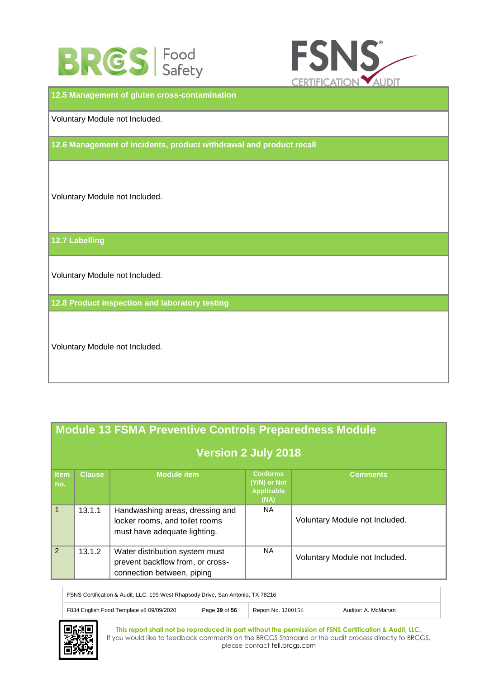



**12.5 Management of gluten cross-contamination** Voluntary Module not Included. **12.6 Management of incidents, product withdrawal and product recall** Voluntary Module not Included. **12.7 Labelling** Voluntary Module not Included. **12.8 Product inspection and laboratory testing**  Voluntary Module not Included.

|                    | <b>Module 13 FSMA Preventive Controls Preparedness Module</b> |                                                                                                   |                                                              |                                |  |  |
|--------------------|---------------------------------------------------------------|---------------------------------------------------------------------------------------------------|--------------------------------------------------------------|--------------------------------|--|--|
|                    | <b>Version 2 July 2018</b>                                    |                                                                                                   |                                                              |                                |  |  |
| <b>Item</b><br>no. | <b>Clause</b>                                                 | <b>Module item</b>                                                                                | <b>Conforms</b><br>(Y/N) or Not<br><b>Applicable</b><br>(NA) | Comments                       |  |  |
| $\mathbf{1}$       | 13.1.1                                                        | Handwashing areas, dressing and<br>locker rooms, and toilet rooms<br>must have adequate lighting. | NA.                                                          | Voluntary Module not Included. |  |  |
| $\mathcal{P}$      | 13.1.2                                                        | Water distribution system must<br>prevent backflow from, or cross-<br>connection between, piping  | NA.                                                          | Voluntary Module not Included. |  |  |

FSNS Certification & Audit, LLC. 199 West Rhapsody Drive, San Antonio, TX 78216 F834 English Food Template v8 09/09/2020 Page 39 of 56 Report No. 1200156 Auditor: A. McMahan

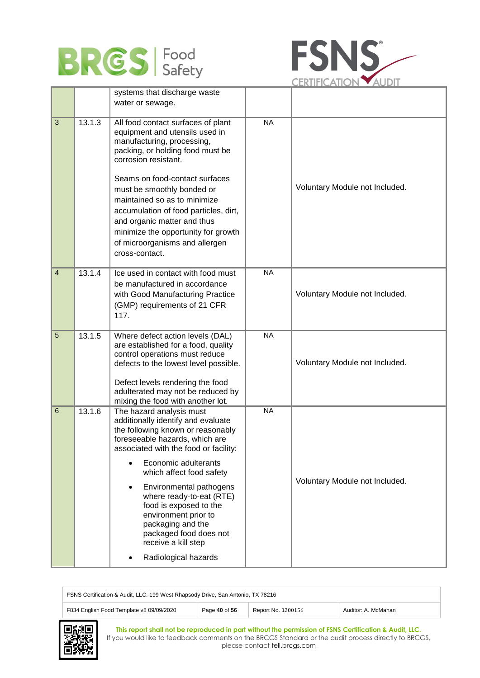



|                |        | systems that discharge waste                                                                                                                                                                                                                                                                                                                                                                                                              |           |                                |
|----------------|--------|-------------------------------------------------------------------------------------------------------------------------------------------------------------------------------------------------------------------------------------------------------------------------------------------------------------------------------------------------------------------------------------------------------------------------------------------|-----------|--------------------------------|
|                |        | water or sewage.                                                                                                                                                                                                                                                                                                                                                                                                                          |           |                                |
| $\mathbf{3}$   | 13.1.3 | All food contact surfaces of plant<br>equipment and utensils used in<br>manufacturing, processing,<br>packing, or holding food must be<br>corrosion resistant.<br>Seams on food-contact surfaces<br>must be smoothly bonded or<br>maintained so as to minimize<br>accumulation of food particles, dirt,<br>and organic matter and thus<br>minimize the opportunity for growth<br>of microorganisms and allergen<br>cross-contact.         | <b>NA</b> | Voluntary Module not Included. |
| $\overline{4}$ | 13.1.4 | Ice used in contact with food must<br>be manufactured in accordance<br>with Good Manufacturing Practice<br>(GMP) requirements of 21 CFR<br>117.                                                                                                                                                                                                                                                                                           | <b>NA</b> | Voluntary Module not Included. |
| $\overline{5}$ | 13.1.5 | Where defect action levels (DAL)<br>are established for a food, quality<br>control operations must reduce<br>defects to the lowest level possible.<br>Defect levels rendering the food<br>adulterated may not be reduced by<br>mixing the food with another lot.                                                                                                                                                                          | <b>NA</b> | Voluntary Module not Included. |
| $\,6\,$        | 13.1.6 | The hazard analysis must<br>additionally identify and evaluate<br>the following known or reasonably<br>foreseeable hazards, which are<br>associated with the food or facility:<br>Economic adulterants<br>which affect food safety<br>Environmental pathogens<br>where ready-to-eat (RTE)<br>food is exposed to the<br>environment prior to<br>packaging and the<br>packaged food does not<br>receive a kill step<br>Radiological hazards | <b>NA</b> | Voluntary Module not Included. |

| FSNS Certification & Audit, LLC. 199 West Rhapsody Drive, San Antonio, TX 78216 |               |                    |                     |
|---------------------------------------------------------------------------------|---------------|--------------------|---------------------|
| F834 English Food Template v8 09/09/2020                                        | Page 40 of 56 | Report No. 1200156 | Auditor: A. McMahan |

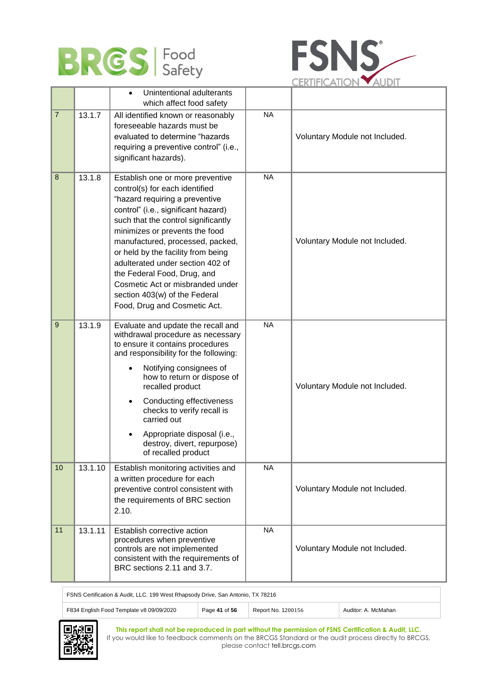



|                |         | Unintentional adulterants<br>$\bullet$<br>which affect food safety                                                                                                                                                                                                                                                                                                                                                                                                     |           |                                |
|----------------|---------|------------------------------------------------------------------------------------------------------------------------------------------------------------------------------------------------------------------------------------------------------------------------------------------------------------------------------------------------------------------------------------------------------------------------------------------------------------------------|-----------|--------------------------------|
| $\overline{7}$ | 13.1.7  | All identified known or reasonably<br>foreseeable hazards must be<br>evaluated to determine "hazards<br>requiring a preventive control" (i.e.,<br>significant hazards).                                                                                                                                                                                                                                                                                                | <b>NA</b> | Voluntary Module not Included. |
| 8              | 13.1.8  | Establish one or more preventive<br>control(s) for each identified<br>"hazard requiring a preventive<br>control" (i.e., significant hazard)<br>such that the control significantly<br>minimizes or prevents the food<br>manufactured, processed, packed,<br>or held by the facility from being<br>adulterated under section 402 of<br>the Federal Food, Drug, and<br>Cosmetic Act or misbranded under<br>section 403(w) of the Federal<br>Food, Drug and Cosmetic Act. | <b>NA</b> | Voluntary Module not Included. |
| 9              | 13.1.9  | Evaluate and update the recall and<br>withdrawal procedure as necessary<br>to ensure it contains procedures<br>and responsibility for the following:<br>Notifying consignees of<br>how to return or dispose of<br>recalled product<br>Conducting effectiveness<br>checks to verify recall is<br>carried out<br>Appropriate disposal (i.e.,<br>destroy, divert, repurpose)<br>of recalled product                                                                       | <b>NA</b> | Voluntary Module not Included. |
| 10             | 13.1.10 | Establish monitoring activities and<br>a written procedure for each<br>preventive control consistent with<br>the requirements of BRC section<br>2.10.                                                                                                                                                                                                                                                                                                                  | <b>NA</b> | Voluntary Module not Included. |
| 11             | 13.1.11 | Establish corrective action<br>procedures when preventive<br>controls are not implemented<br>consistent with the requirements of<br>BRC sections 2.11 and 3.7.                                                                                                                                                                                                                                                                                                         | <b>NA</b> | Voluntary Module not Included. |

FSNS Certification & Audit, LLC. 199 West Rhapsody Drive, San Antonio, TX 78216 F834 English Food Template v8 09/09/2020 Page 41 of 56 Report No. 1200156 Auditor: A. McMahan

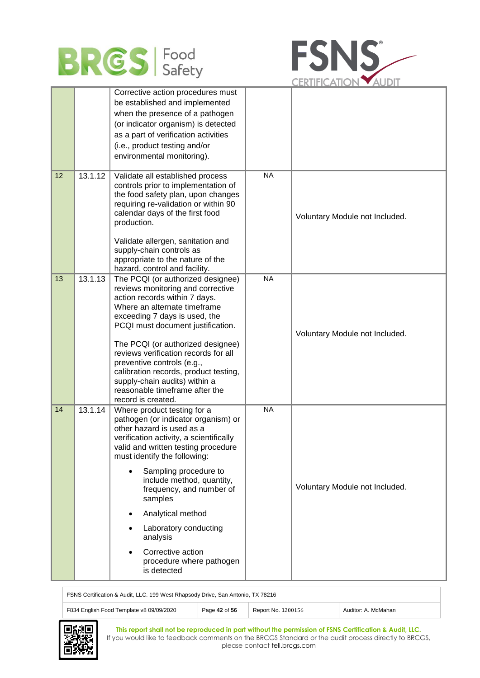



|    |         | Corrective action procedures must<br>be established and implemented<br>when the presence of a pathogen<br>(or indicator organism) is detected<br>as a part of verification activities<br>(i.e., product testing and/or<br>environmental monitoring).                                                                                                                                                                                                       |                |                                |
|----|---------|------------------------------------------------------------------------------------------------------------------------------------------------------------------------------------------------------------------------------------------------------------------------------------------------------------------------------------------------------------------------------------------------------------------------------------------------------------|----------------|--------------------------------|
| 12 | 13.1.12 | Validate all established process<br>controls prior to implementation of<br>the food safety plan, upon changes<br>requiring re-validation or within 90<br>calendar days of the first food<br>production.<br>Validate allergen, sanitation and<br>supply-chain controls as<br>appropriate to the nature of the<br>hazard, control and facility.                                                                                                              | <b>NA</b>      | Voluntary Module not Included. |
| 13 | 13.1.13 | The PCQI (or authorized designee)<br>reviews monitoring and corrective<br>action records within 7 days.<br>Where an alternate timeframe<br>exceeding 7 days is used, the<br>PCQI must document justification.<br>The PCQI (or authorized designee)<br>reviews verification records for all<br>preventive controls (e.g.,<br>calibration records, product testing,<br>supply-chain audits) within a<br>reasonable timeframe after the<br>record is created. | N <sub>A</sub> | Voluntary Module not Included. |
| 14 | 13.1.14 | Where product testing for a<br>pathogen (or indicator organism) or<br>other hazard is used as a<br>verification activity, a scientifically<br>valid and written testing procedure<br>must identify the following:<br>Sampling procedure to<br>include method, quantity,<br>frequency, and number of<br>samples<br>Analytical method<br>Laboratory conducting<br>analysis<br>Corrective action<br>procedure where pathogen<br>is detected                   | <b>NA</b>      | Voluntary Module not Included. |

FSNS Certification & Audit, LLC. 199 West Rhapsody Drive, San Antonio, TX 78216 F834 English Food Template v8 09/09/2020 Page 42 of 56 Report No. 1200156 Auditor: A. McMahan

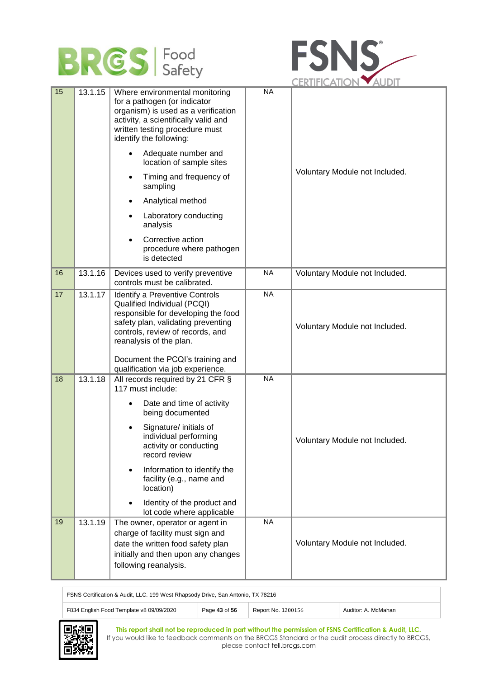



|    |         |                                                                                                                                                                                                                                                                                                                                                                                                                                             |           | ULNIITUAIIUN YAUUT             |
|----|---------|---------------------------------------------------------------------------------------------------------------------------------------------------------------------------------------------------------------------------------------------------------------------------------------------------------------------------------------------------------------------------------------------------------------------------------------------|-----------|--------------------------------|
| 15 | 13.1.15 | Where environmental monitoring<br>for a pathogen (or indicator<br>organism) is used as a verification<br>activity, a scientifically valid and<br>written testing procedure must<br>identify the following:<br>Adequate number and<br>location of sample sites<br>Timing and frequency of<br>$\bullet$<br>sampling<br>Analytical method<br>Laboratory conducting<br>analysis<br>Corrective action<br>procedure where pathogen<br>is detected | <b>NA</b> | Voluntary Module not Included. |
| 16 | 13.1.16 | Devices used to verify preventive<br>controls must be calibrated.                                                                                                                                                                                                                                                                                                                                                                           | <b>NA</b> | Voluntary Module not Included. |
| 17 | 13.1.17 | Identify a Preventive Controls<br>Qualified Individual (PCQI)<br>responsible for developing the food<br>safety plan, validating preventing<br>controls, review of records, and<br>reanalysis of the plan.<br>Document the PCQI's training and<br>qualification via job experience.                                                                                                                                                          | <b>NA</b> | Voluntary Module not Included. |
| 18 | 13.1.18 | All records required by 21 CFR §<br>117 must include:<br>Date and time of activity<br>being documented<br>Signature/ initials of<br>individual performing<br>activity or conducting<br>record review<br>Information to identify the<br>facility (e.g., name and<br>location)<br>Identity of the product and<br>lot code where applicable                                                                                                    | <b>NA</b> | Voluntary Module not Included. |
| 19 | 13.1.19 | The owner, operator or agent in<br>charge of facility must sign and<br>date the written food safety plan<br>initially and then upon any changes<br>following reanalysis.                                                                                                                                                                                                                                                                    | <b>NA</b> | Voluntary Module not Included. |

FSNS Certification & Audit, LLC. 199 West Rhapsody Drive, San Antonio, TX 78216 F834 English Food Template v8 09/09/2020 Page 43 of 56 Report No. 1200156 Auditor: A. McMahan

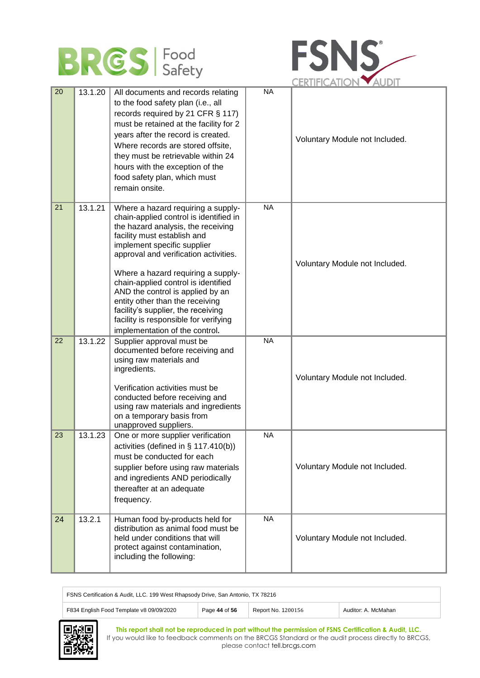



| 20 | 13.1.20 | All documents and records relating<br>to the food safety plan (i.e., all<br>records required by 21 CFR § 117)<br>must be retained at the facility for 2<br>years after the record is created.<br>Where records are stored offsite,<br>they must be retrievable within 24<br>hours with the exception of the<br>food safety plan, which must<br>remain onsite.                                                                                                                                  | <b>NA</b> | Voluntary Module not Included. |
|----|---------|------------------------------------------------------------------------------------------------------------------------------------------------------------------------------------------------------------------------------------------------------------------------------------------------------------------------------------------------------------------------------------------------------------------------------------------------------------------------------------------------|-----------|--------------------------------|
| 21 | 13.1.21 | Where a hazard requiring a supply-<br>chain-applied control is identified in<br>the hazard analysis, the receiving<br>facility must establish and<br>implement specific supplier<br>approval and verification activities.<br>Where a hazard requiring a supply-<br>chain-applied control is identified<br>AND the control is applied by an<br>entity other than the receiving<br>facility's supplier, the receiving<br>facility is responsible for verifying<br>implementation of the control. | <b>NA</b> | Voluntary Module not Included. |
| 22 | 13.1.22 | Supplier approval must be<br>documented before receiving and<br>using raw materials and<br>ingredients.<br>Verification activities must be<br>conducted before receiving and<br>using raw materials and ingredients<br>on a temporary basis from<br>unapproved suppliers.                                                                                                                                                                                                                      | <b>NA</b> | Voluntary Module not Included. |
| 23 | 13.1.23 | One or more supplier verification<br>activities (defined in § 117.410(b))<br>must be conducted for each<br>supplier before using raw materials<br>and ingredients AND periodically<br>thereafter at an adequate<br>frequency.                                                                                                                                                                                                                                                                  | <b>NA</b> | Voluntary Module not Included. |
| 24 | 13.2.1  | Human food by-products held for<br>distribution as animal food must be<br>held under conditions that will<br>protect against contamination,<br>including the following:                                                                                                                                                                                                                                                                                                                        | <b>NA</b> | Voluntary Module not Included. |

| FSNS Certification & Audit, LLC. 199 West Rhapsody Drive, San Antonio, TX 78216 |               |                    |                     |
|---------------------------------------------------------------------------------|---------------|--------------------|---------------------|
| F834 English Food Template v8 09/09/2020                                        | Page 44 of 56 | Report No. 1200156 | Auditor: A. McMahan |

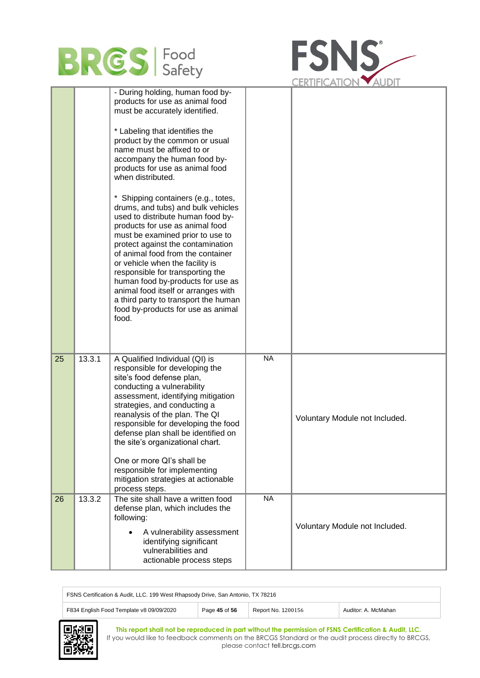



|    |        | - During holding, human food by-<br>products for use as animal food<br>must be accurately identified.<br>* Labeling that identifies the<br>product by the common or usual<br>name must be affixed to or<br>accompany the human food by-<br>products for use as animal food<br>when distributed.<br>Shipping containers (e.g., totes,<br>drums, and tubs) and bulk vehicles<br>used to distribute human food by-<br>products for use as animal food<br>must be examined prior to use to<br>protect against the contamination<br>of animal food from the container<br>or vehicle when the facility is<br>responsible for transporting the<br>human food by-products for use as<br>animal food itself or arranges with<br>a third party to transport the human<br>food by-products for use as animal<br>food. |           |                                |
|----|--------|------------------------------------------------------------------------------------------------------------------------------------------------------------------------------------------------------------------------------------------------------------------------------------------------------------------------------------------------------------------------------------------------------------------------------------------------------------------------------------------------------------------------------------------------------------------------------------------------------------------------------------------------------------------------------------------------------------------------------------------------------------------------------------------------------------|-----------|--------------------------------|
| 25 | 13.3.1 | A Qualified Individual (QI) is<br>responsible for developing the<br>site's food defense plan,<br>conducting a vulnerability<br>assessment, identifying mitigation<br>strategies, and conducting a<br>reanalysis of the plan. The QI<br>responsible for developing the food<br>defense plan shall be identified on<br>the site's organizational chart.<br>One or more QI's shall be<br>responsible for implementing<br>mitigation strategies at actionable<br>process steps.                                                                                                                                                                                                                                                                                                                                | <b>NA</b> | Voluntary Module not Included. |
| 26 | 13.3.2 | The site shall have a written food<br>defense plan, which includes the<br>following:<br>A vulnerability assessment<br>identifying significant<br>vulnerabilities and<br>actionable process steps                                                                                                                                                                                                                                                                                                                                                                                                                                                                                                                                                                                                           | <b>NA</b> | Voluntary Module not Included. |

| FSNS Certification & Audit, LLC. 199 West Rhapsody Drive, San Antonio, TX 78216 |               |                    |                     |
|---------------------------------------------------------------------------------|---------------|--------------------|---------------------|
| F834 English Food Template v8 09/09/2020                                        | Page 45 of 56 | Report No. 1200156 | Auditor: A. McMahan |

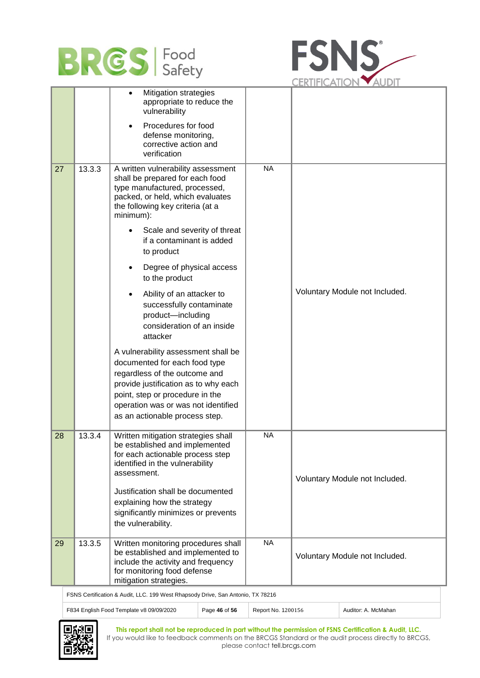



|    |        |                                                                                                                                                                                                                                                                                                                                                                                                                                                                                                                                                        |           | ULINI II IVAIIN                |
|----|--------|--------------------------------------------------------------------------------------------------------------------------------------------------------------------------------------------------------------------------------------------------------------------------------------------------------------------------------------------------------------------------------------------------------------------------------------------------------------------------------------------------------------------------------------------------------|-----------|--------------------------------|
|    |        | <b>Mitigation strategies</b><br>appropriate to reduce the<br>vulnerability                                                                                                                                                                                                                                                                                                                                                                                                                                                                             |           |                                |
|    |        | Procedures for food<br>defense monitoring,<br>corrective action and<br>verification                                                                                                                                                                                                                                                                                                                                                                                                                                                                    |           |                                |
| 27 | 13.3.3 | A written vulnerability assessment<br>shall be prepared for each food<br>type manufactured, processed,<br>packed, or held, which evaluates<br>the following key criteria (at a<br>minimum):<br>Scale and severity of threat<br>if a contaminant is added<br>to product<br>Degree of physical access<br>to the product<br>Ability of an attacker to<br>successfully contaminate<br>product-including<br>consideration of an inside<br>attacker<br>A vulnerability assessment shall be<br>documented for each food type<br>regardless of the outcome and | <b>NA</b> | Voluntary Module not Included. |
|    |        | provide justification as to why each<br>point, step or procedure in the<br>operation was or was not identified<br>as an actionable process step.                                                                                                                                                                                                                                                                                                                                                                                                       |           |                                |
| 28 | 13.3.4 | Written mitigation strategies shall<br>be established and implemented<br>for each actionable process step<br>identified in the vulnerability<br>assessment.<br>Justification shall be documented<br>explaining how the strategy<br>significantly minimizes or prevents<br>the vulnerability.                                                                                                                                                                                                                                                           | <b>NA</b> | Voluntary Module not Included. |
| 29 | 13.3.5 | Written monitoring procedures shall<br>be established and implemented to<br>include the activity and frequency<br>for monitoring food defense<br>mitigation strategies.                                                                                                                                                                                                                                                                                                                                                                                | <b>NA</b> | Voluntary Module not Included. |

FSNS Certification & Audit, LLC. 199 West Rhapsody Drive, San Antonio, TX 78216

F834 English Food Template v8 09/09/2020 Page 46 of 56 Report No. 1200156 Auditor: A. McMahan



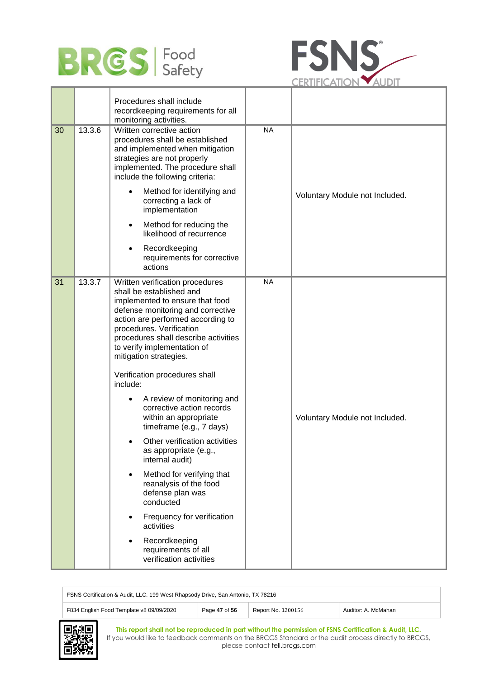



|    |        | Procedures shall include<br>recordkeeping requirements for all<br>monitoring activities.                                                                                                                                                                                                                                                                                                                                                                                                                                                                                                                                                                                                                                                                                              |           |                                |
|----|--------|---------------------------------------------------------------------------------------------------------------------------------------------------------------------------------------------------------------------------------------------------------------------------------------------------------------------------------------------------------------------------------------------------------------------------------------------------------------------------------------------------------------------------------------------------------------------------------------------------------------------------------------------------------------------------------------------------------------------------------------------------------------------------------------|-----------|--------------------------------|
| 30 | 13.3.6 | Written corrective action<br>procedures shall be established<br>and implemented when mitigation<br>strategies are not properly<br>implemented. The procedure shall<br>include the following criteria:                                                                                                                                                                                                                                                                                                                                                                                                                                                                                                                                                                                 | <b>NA</b> |                                |
|    |        | Method for identifying and<br>correcting a lack of<br>implementation                                                                                                                                                                                                                                                                                                                                                                                                                                                                                                                                                                                                                                                                                                                  |           | Voluntary Module not Included. |
|    |        | Method for reducing the<br>$\bullet$<br>likelihood of recurrence                                                                                                                                                                                                                                                                                                                                                                                                                                                                                                                                                                                                                                                                                                                      |           |                                |
|    |        | Recordkeeping<br>requirements for corrective<br>actions                                                                                                                                                                                                                                                                                                                                                                                                                                                                                                                                                                                                                                                                                                                               |           |                                |
| 31 | 13.3.7 | Written verification procedures<br>shall be established and<br>implemented to ensure that food<br>defense monitoring and corrective<br>action are performed according to<br>procedures. Verification<br>procedures shall describe activities<br>to verify implementation of<br>mitigation strategies.<br>Verification procedures shall<br>include:<br>A review of monitoring and<br>٠<br>corrective action records<br>within an appropriate<br>timeframe (e.g., 7 days)<br>Other verification activities<br>as appropriate (e.g.,<br>internal audit)<br>Method for verifying that<br>$\bullet$<br>reanalysis of the food<br>defense plan was<br>conducted<br>Frequency for verification<br>activities<br>Recordkeeping<br>$\bullet$<br>requirements of all<br>verification activities | <b>NA</b> | Voluntary Module not Included. |

| FSNS Certification & Audit, LLC. 199 West Rhapsody Drive, San Antonio, TX 78216 |               |                    |                     |  |
|---------------------------------------------------------------------------------|---------------|--------------------|---------------------|--|
| F834 English Food Template v8 09/09/2020                                        | Page 47 of 56 | Report No. 1200156 | Auditor: A. McMahan |  |
| Larga I<br>--                                                                   |               |                    |                     |  |

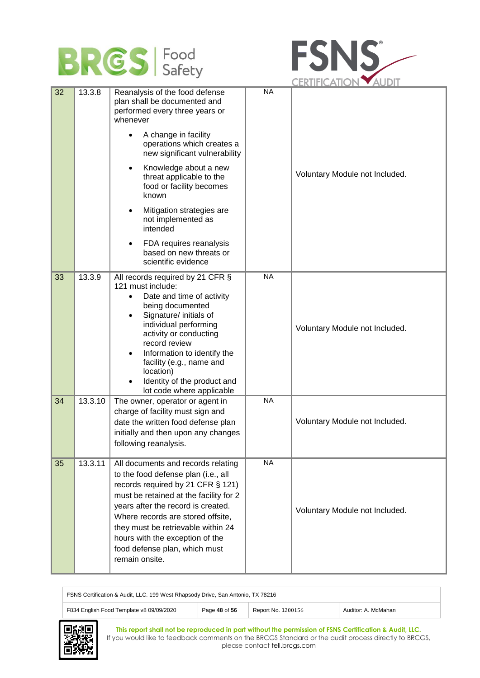



|    |         |                                                                                                                                                                                                                                                                                                                                                                                                                                                                     |           | UERIIFIUAIIUIN YAUDII          |
|----|---------|---------------------------------------------------------------------------------------------------------------------------------------------------------------------------------------------------------------------------------------------------------------------------------------------------------------------------------------------------------------------------------------------------------------------------------------------------------------------|-----------|--------------------------------|
| 32 | 13.3.8  | Reanalysis of the food defense<br>plan shall be documented and<br>performed every three years or<br>whenever<br>A change in facility<br>operations which creates a<br>new significant vulnerability<br>Knowledge about a new<br>$\bullet$<br>threat applicable to the<br>food or facility becomes<br>known<br>Mitigation strategies are<br>$\bullet$<br>not implemented as<br>intended<br>FDA requires reanalysis<br>based on new threats or<br>scientific evidence | <b>NA</b> | Voluntary Module not Included. |
| 33 | 13.3.9  | All records required by 21 CFR §<br>121 must include:<br>Date and time of activity<br>being documented<br>Signature/ initials of<br>$\bullet$<br>individual performing<br>activity or conducting<br>record review<br>Information to identify the<br>facility (e.g., name and<br>location)<br>Identity of the product and<br>lot code where applicable                                                                                                               | <b>NA</b> | Voluntary Module not Included. |
| 34 | 13.3.10 | The owner, operator or agent in<br>charge of facility must sign and<br>date the written food defense plan<br>initially and then upon any changes<br>following reanalysis.                                                                                                                                                                                                                                                                                           | <b>NA</b> | Voluntary Module not Included. |
| 35 | 13.3.11 | All documents and records relating<br>to the food defense plan (i.e., all<br>records required by 21 CFR § 121)<br>must be retained at the facility for 2<br>years after the record is created.<br>Where records are stored offsite,<br>they must be retrievable within 24<br>hours with the exception of the<br>food defense plan, which must<br>remain onsite.                                                                                                     | <b>NA</b> | Voluntary Module not Included. |



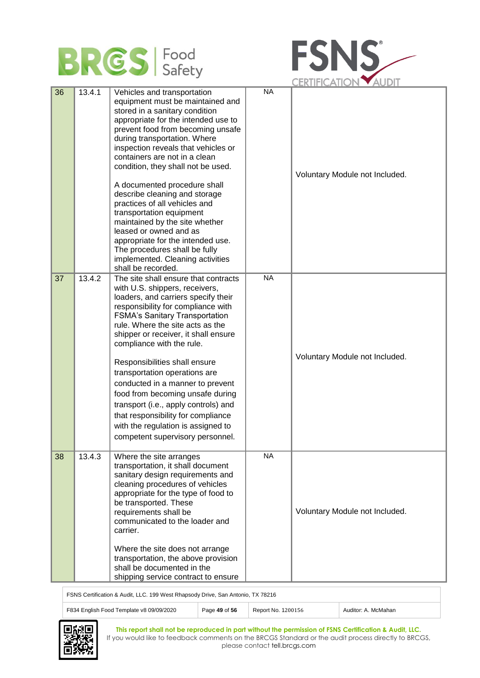



|    |        |                                                                                                                                                                                                                                                                                                                                                                                                                                                                                                                                                                                                                                                       |           | UERIIFIUAIIUIN YAUDII          |
|----|--------|-------------------------------------------------------------------------------------------------------------------------------------------------------------------------------------------------------------------------------------------------------------------------------------------------------------------------------------------------------------------------------------------------------------------------------------------------------------------------------------------------------------------------------------------------------------------------------------------------------------------------------------------------------|-----------|--------------------------------|
| 36 | 13.4.1 | Vehicles and transportation<br>equipment must be maintained and<br>stored in a sanitary condition<br>appropriate for the intended use to<br>prevent food from becoming unsafe<br>during transportation. Where<br>inspection reveals that vehicles or<br>containers are not in a clean<br>condition, they shall not be used.<br>A documented procedure shall<br>describe cleaning and storage<br>practices of all vehicles and<br>transportation equipment<br>maintained by the site whether<br>leased or owned and as<br>appropriate for the intended use.<br>The procedures shall be fully<br>implemented. Cleaning activities<br>shall be recorded. | <b>NA</b> | Voluntary Module not Included. |
| 37 | 13.4.2 | The site shall ensure that contracts<br>with U.S. shippers, receivers,<br>loaders, and carriers specify their<br>responsibility for compliance with<br><b>FSMA's Sanitary Transportation</b><br>rule. Where the site acts as the<br>shipper or receiver, it shall ensure<br>compliance with the rule.<br>Responsibilities shall ensure<br>transportation operations are<br>conducted in a manner to prevent<br>food from becoming unsafe during<br>transport (i.e., apply controls) and<br>that responsibility for compliance<br>with the regulation is assigned to<br>competent supervisory personnel.                                               | <b>NA</b> | Voluntary Module not Included. |
| 38 | 13.4.3 | Where the site arranges<br>transportation, it shall document<br>sanitary design requirements and<br>cleaning procedures of vehicles<br>appropriate for the type of food to<br>be transported. These<br>requirements shall be<br>communicated to the loader and<br>carrier.<br>Where the site does not arrange<br>transportation, the above provision<br>shall be documented in the<br>shipping service contract to ensure                                                                                                                                                                                                                             | <b>NA</b> | Voluntary Module not Included. |

FSNS Certification & Audit, LLC. 199 West Rhapsody Drive, San Antonio, TX 78216

| ONO OCHINGHON & AGGIL, LEO. TOO WOOLTMADOOGY DING, OGNTANOMO, TA TOZTO |               |                    |                     |  |
|------------------------------------------------------------------------|---------------|--------------------|---------------------|--|
| F834 English Food Template v8 09/09/2020                               | Page 49 of 56 | Report No. 1200156 | Auditor: A. McMahan |  |

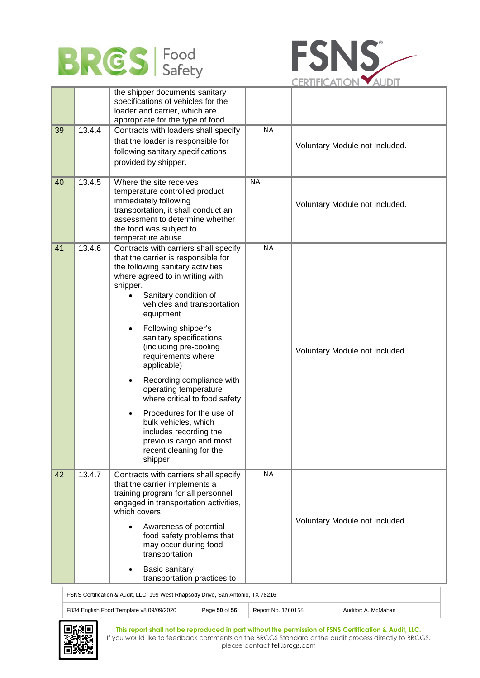



|    |        | the shipper documents sanitary<br>specifications of vehicles for the<br>loader and carrier, which are<br>appropriate for the type of food.                                                                                                                                                                                                                                                                                                                                                                                                                                                                              |           |                                |
|----|--------|-------------------------------------------------------------------------------------------------------------------------------------------------------------------------------------------------------------------------------------------------------------------------------------------------------------------------------------------------------------------------------------------------------------------------------------------------------------------------------------------------------------------------------------------------------------------------------------------------------------------------|-----------|--------------------------------|
| 39 | 13.4.4 | Contracts with loaders shall specify<br>that the loader is responsible for<br>following sanitary specifications<br>provided by shipper.                                                                                                                                                                                                                                                                                                                                                                                                                                                                                 | <b>NA</b> | Voluntary Module not Included. |
| 40 | 13.4.5 | Where the site receives<br>temperature controlled product<br>immediately following<br>transportation, it shall conduct an<br>assessment to determine whether<br>the food was subject to<br>temperature abuse.                                                                                                                                                                                                                                                                                                                                                                                                           | <b>NA</b> | Voluntary Module not Included. |
| 41 | 13.4.6 | Contracts with carriers shall specify<br>that the carrier is responsible for<br>the following sanitary activities<br>where agreed to in writing with<br>shipper.<br>Sanitary condition of<br>vehicles and transportation<br>equipment<br>Following shipper's<br>$\bullet$<br>sanitary specifications<br>(including pre-cooling<br>requirements where<br>applicable)<br>Recording compliance with<br>operating temperature<br>where critical to food safety<br>Procedures for the use of<br>$\bullet$<br>bulk vehicles, which<br>includes recording the<br>previous cargo and most<br>recent cleaning for the<br>shipper | <b>NA</b> | Voluntary Module not Included. |
| 42 | 13.4.7 | Contracts with carriers shall specify<br>that the carrier implements a<br>training program for all personnel<br>engaged in transportation activities,<br>which covers<br>Awareness of potential<br>$\bullet$<br>food safety problems that<br>may occur during food<br>transportation<br><b>Basic sanitary</b><br>transportation practices to                                                                                                                                                                                                                                                                            | <b>NA</b> | Voluntary Module not Included. |

FSNS Certification & Audit, LLC. 199 West Rhapsody Drive, San Antonio, TX 78216

| $\sim$ . The commodator of radial, ELO: 100 Treat randpood $\gamma$ Drive, Odiffers in the relation |               |                    |                     |  |
|-----------------------------------------------------------------------------------------------------|---------------|--------------------|---------------------|--|
| F834 English Food Template v8 09/09/2020                                                            | Page 50 of 56 | Report No. 1200156 | Auditor: A. McMahan |  |

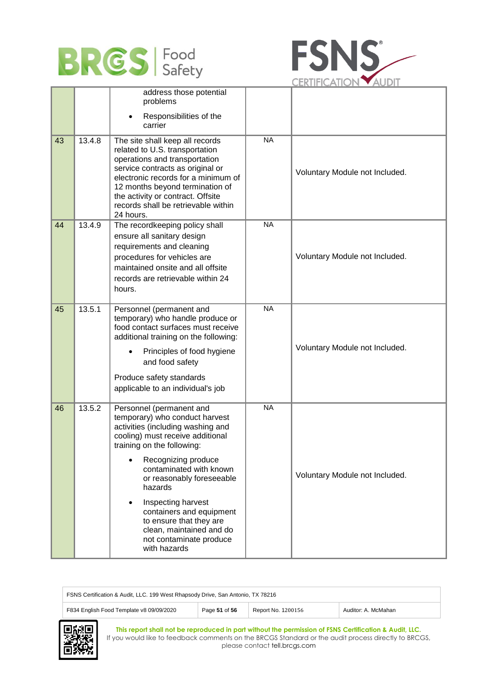



|    |        | address those potential<br>problems<br>Responsibilities of the<br>carrier                                                                                                                                                                                                                                                                                                                                                                 |           |                                |
|----|--------|-------------------------------------------------------------------------------------------------------------------------------------------------------------------------------------------------------------------------------------------------------------------------------------------------------------------------------------------------------------------------------------------------------------------------------------------|-----------|--------------------------------|
| 43 | 13.4.8 | The site shall keep all records<br>related to U.S. transportation<br>operations and transportation<br>service contracts as original or<br>electronic records for a minimum of<br>12 months beyond termination of<br>the activity or contract. Offsite<br>records shall be retrievable within<br>24 hours.                                                                                                                                 | <b>NA</b> | Voluntary Module not Included. |
| 44 | 13.4.9 | The recordkeeping policy shall<br>ensure all sanitary design<br>requirements and cleaning<br>procedures for vehicles are<br>maintained onsite and all offsite<br>records are retrievable within 24<br>hours.                                                                                                                                                                                                                              | <b>NA</b> | Voluntary Module not Included. |
| 45 | 13.5.1 | Personnel (permanent and<br>temporary) who handle produce or<br>food contact surfaces must receive<br>additional training on the following:<br>Principles of food hygiene<br>and food safety<br>Produce safety standards<br>applicable to an individual's job                                                                                                                                                                             | <b>NA</b> | Voluntary Module not Included. |
| 46 | 13.5.2 | Personnel (permanent and<br>temporary) who conduct harvest<br>activities (including washing and<br>cooling) must receive additional<br>training on the following:<br>Recognizing produce<br>$\bullet$<br>contaminated with known<br>or reasonably foreseeable<br>hazards<br>Inspecting harvest<br>$\bullet$<br>containers and equipment<br>to ensure that they are<br>clean, maintained and do<br>not contaminate produce<br>with hazards | <b>NA</b> | Voluntary Module not Included. |

| FSNS Certification & Audit, LLC. 199 West Rhapsody Drive, San Antonio, TX 78216 |               |                    |                     |  |
|---------------------------------------------------------------------------------|---------------|--------------------|---------------------|--|
| F834 English Food Template v8 09/09/2020                                        | Page 51 of 56 | Report No. 1200156 | Auditor: A. McMahan |  |

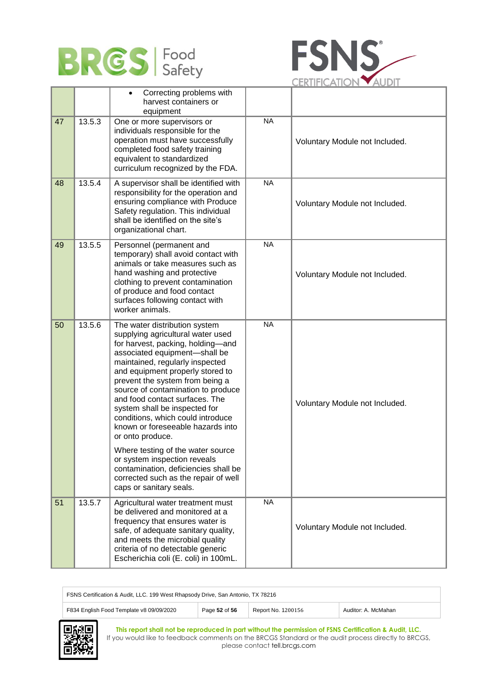



|    |        | Correcting problems with<br>$\bullet$<br>harvest containers or<br>equipment                                                                                                                                                                                                                                                                                                                                                                                                                                                                                                                                                               |                |                                |
|----|--------|-------------------------------------------------------------------------------------------------------------------------------------------------------------------------------------------------------------------------------------------------------------------------------------------------------------------------------------------------------------------------------------------------------------------------------------------------------------------------------------------------------------------------------------------------------------------------------------------------------------------------------------------|----------------|--------------------------------|
| 47 | 13.5.3 | One or more supervisors or<br>individuals responsible for the<br>operation must have successfully<br>completed food safety training<br>equivalent to standardized<br>curriculum recognized by the FDA.                                                                                                                                                                                                                                                                                                                                                                                                                                    | <b>NA</b>      | Voluntary Module not Included. |
| 48 | 13.5.4 | A supervisor shall be identified with<br>responsibility for the operation and<br>ensuring compliance with Produce<br>Safety regulation. This individual<br>shall be identified on the site's<br>organizational chart.                                                                                                                                                                                                                                                                                                                                                                                                                     | <b>NA</b>      | Voluntary Module not Included. |
| 49 | 13.5.5 | Personnel (permanent and<br>temporary) shall avoid contact with<br>animals or take measures such as<br>hand washing and protective<br>clothing to prevent contamination<br>of produce and food contact<br>surfaces following contact with<br>worker animals.                                                                                                                                                                                                                                                                                                                                                                              | N <sub>A</sub> | Voluntary Module not Included. |
| 50 | 13.5.6 | The water distribution system<br>supplying agricultural water used<br>for harvest, packing, holding-and<br>associated equipment-shall be<br>maintained, regularly inspected<br>and equipment properly stored to<br>prevent the system from being a<br>source of contamination to produce<br>and food contact surfaces. The<br>system shall be inspected for<br>conditions, which could introduce<br>known or foreseeable hazards into<br>or onto produce.<br>Where testing of the water source<br>or system inspection reveals<br>contamination, deficiencies shall be<br>corrected such as the repair of well<br>caps or sanitary seals. | <b>NA</b>      | Voluntary Module not Included. |
| 51 | 13.5.7 | Agricultural water treatment must<br>be delivered and monitored at a<br>frequency that ensures water is<br>safe, of adequate sanitary quality,<br>and meets the microbial quality<br>criteria of no detectable generic<br>Escherichia coli (E. coli) in 100mL.                                                                                                                                                                                                                                                                                                                                                                            | <b>NA</b>      | Voluntary Module not Included. |

| FSNS Certification & Audit, LLC. 199 West Rhapsody Drive, San Antonio, TX 78216 |               |                    |                     |  |
|---------------------------------------------------------------------------------|---------------|--------------------|---------------------|--|
| F834 English Food Template v8 09/09/2020                                        | Page 52 of 56 | Report No. 1200156 | Auditor: A. McMahan |  |

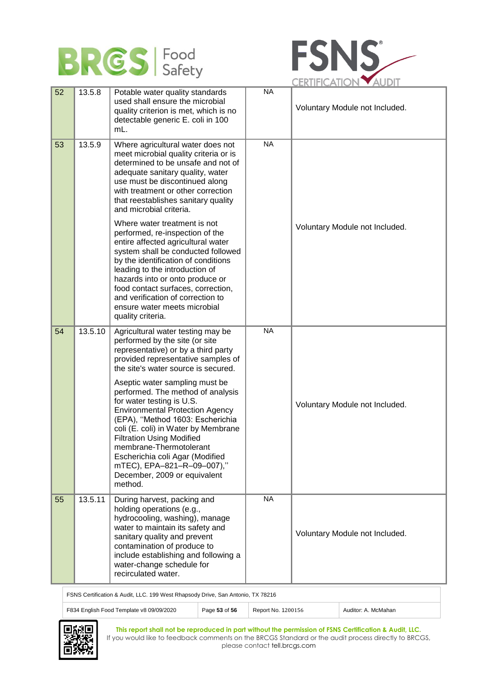



|    |         |                                                                                                                                                                                                                                                                                                                                                                                                  |           | ULINIII IVAIIVI                |
|----|---------|--------------------------------------------------------------------------------------------------------------------------------------------------------------------------------------------------------------------------------------------------------------------------------------------------------------------------------------------------------------------------------------------------|-----------|--------------------------------|
| 52 | 13.5.8  | Potable water quality standards<br>used shall ensure the microbial<br>quality criterion is met, which is no<br>detectable generic E. coli in 100<br>mL.                                                                                                                                                                                                                                          | <b>NA</b> | Voluntary Module not Included. |
| 53 | 13.5.9  | Where agricultural water does not<br>meet microbial quality criteria or is<br>determined to be unsafe and not of<br>adequate sanitary quality, water<br>use must be discontinued along<br>with treatment or other correction<br>that reestablishes sanitary quality<br>and microbial criteria.<br>Where water treatment is not                                                                   | <b>NA</b> |                                |
|    |         | performed, re-inspection of the<br>entire affected agricultural water<br>system shall be conducted followed<br>by the identification of conditions<br>leading to the introduction of<br>hazards into or onto produce or<br>food contact surfaces, correction,<br>and verification of correction to<br>ensure water meets microbial<br>quality criteria.                                          |           | Voluntary Module not Included. |
| 54 | 13.5.10 | Agricultural water testing may be<br>performed by the site (or site<br>representative) or by a third party<br>provided representative samples of<br>the site's water source is secured.                                                                                                                                                                                                          | <b>NA</b> |                                |
|    |         | Aseptic water sampling must be<br>performed. The method of analysis<br>for water testing is U.S.<br><b>Environmental Protection Agency</b><br>(EPA), "Method 1603: Escherichia<br>coli (E. coli) in Water by Membrane<br><b>Filtration Using Modified</b><br>membrane-Thermotolerant<br>Escherichia coli Agar (Modified<br>mTEC), EPA-821-R-09-007),"<br>December, 2009 or equivalent<br>method. |           | Voluntary Module not Included. |
| 55 | 13.5.11 | During harvest, packing and<br>holding operations (e.g.,<br>hydrocooling, washing), manage<br>water to maintain its safety and<br>sanitary quality and prevent<br>contamination of produce to<br>include establishing and following a<br>water-change schedule for<br>recirculated water.                                                                                                        | <b>NA</b> | Voluntary Module not Included. |

FSNS Certification & Audit, LLC. 199 West Rhapsody Drive, San Antonio, TX 78216

F834 English Food Template v8 09/09/2020 Page 53 of 56 Report No. 1200156 Auditor: A. McMahan

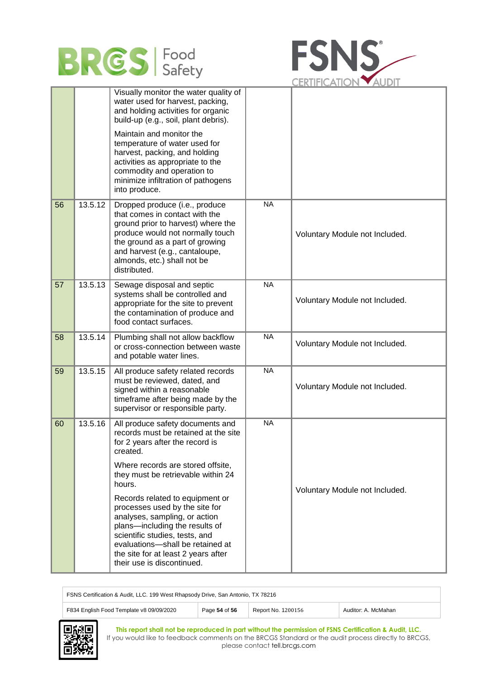



|    |         | Visually monitor the water quality of<br>water used for harvest, packing,<br>and holding activities for organic<br>build-up (e.g., soil, plant debris).<br>Maintain and monitor the<br>temperature of water used for<br>harvest, packing, and holding<br>activities as appropriate to the<br>commodity and operation to<br>minimize infiltration of pathogens<br>into produce.                                                                                                                  |           |                                |
|----|---------|-------------------------------------------------------------------------------------------------------------------------------------------------------------------------------------------------------------------------------------------------------------------------------------------------------------------------------------------------------------------------------------------------------------------------------------------------------------------------------------------------|-----------|--------------------------------|
| 56 | 13.5.12 | Dropped produce (i.e., produce<br>that comes in contact with the<br>ground prior to harvest) where the<br>produce would not normally touch<br>the ground as a part of growing<br>and harvest (e.g., cantaloupe,<br>almonds, etc.) shall not be<br>distributed.                                                                                                                                                                                                                                  | <b>NA</b> | Voluntary Module not Included. |
| 57 | 13.5.13 | Sewage disposal and septic<br>systems shall be controlled and<br>appropriate for the site to prevent<br>the contamination of produce and<br>food contact surfaces.                                                                                                                                                                                                                                                                                                                              | <b>NA</b> | Voluntary Module not Included. |
| 58 | 13.5.14 | Plumbing shall not allow backflow<br>or cross-connection between waste<br>and potable water lines.                                                                                                                                                                                                                                                                                                                                                                                              | <b>NA</b> | Voluntary Module not Included. |
| 59 | 13.5.15 | All produce safety related records<br>must be reviewed, dated, and<br>signed within a reasonable<br>timeframe after being made by the<br>supervisor or responsible party.                                                                                                                                                                                                                                                                                                                       | <b>NA</b> | Voluntary Module not Included. |
| 60 | 13.5.16 | All produce safety documents and<br>records must be retained at the site<br>for 2 years after the record is<br>created.<br>Where records are stored offsite,<br>they must be retrievable within 24<br>hours.<br>Records related to equipment or<br>processes used by the site for<br>analyses, sampling, or action<br>plans-including the results of<br>scientific studies, tests, and<br>evaluations-shall be retained at<br>the site for at least 2 years after<br>their use is discontinued. | <b>NA</b> | Voluntary Module not Included. |

| FSNS Certification & Audit, LLC. 199 West Rhapsody Drive, San Antonio, TX 78216 |               |                    |                     |  |
|---------------------------------------------------------------------------------|---------------|--------------------|---------------------|--|
| F834 English Food Template v8 09/09/2020                                        | Page 54 of 56 | Report No. 1200156 | Auditor: A. McMahan |  |

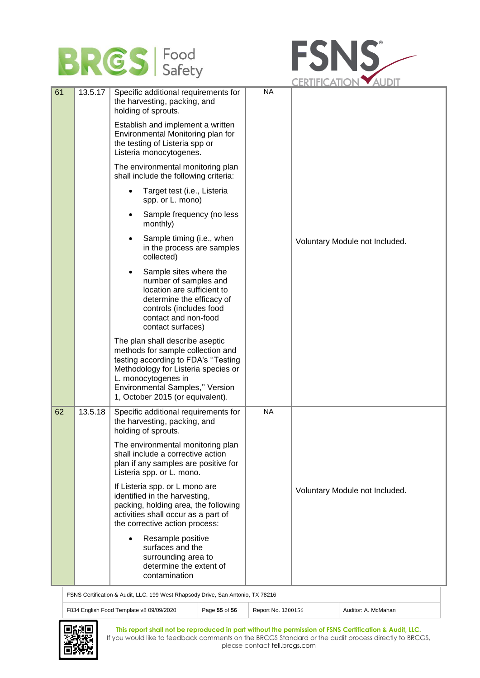# **BRES** Food



|    |         |                                                                                                                                                                                                                                                  |           | UERIIFIUAIIUIN YAUDII          |
|----|---------|--------------------------------------------------------------------------------------------------------------------------------------------------------------------------------------------------------------------------------------------------|-----------|--------------------------------|
| 61 | 13.5.17 | Specific additional requirements for<br>the harvesting, packing, and<br>holding of sprouts.                                                                                                                                                      | <b>NA</b> |                                |
|    |         | Establish and implement a written<br>Environmental Monitoring plan for<br>the testing of Listeria spp or<br>Listeria monocytogenes.                                                                                                              |           |                                |
|    |         | The environmental monitoring plan<br>shall include the following criteria:                                                                                                                                                                       |           |                                |
|    |         | Target test (i.e., Listeria<br>spp. or L. mono)                                                                                                                                                                                                  |           |                                |
|    |         | Sample frequency (no less<br>$\bullet$<br>monthly)                                                                                                                                                                                               |           |                                |
|    |         | Sample timing (i.e., when<br>in the process are samples<br>collected)                                                                                                                                                                            |           | Voluntary Module not Included. |
|    |         | Sample sites where the<br>number of samples and<br>location are sufficient to<br>determine the efficacy of<br>controls (includes food<br>contact and non-food<br>contact surfaces)                                                               |           |                                |
|    |         | The plan shall describe aseptic<br>methods for sample collection and<br>testing according to FDA's "Testing<br>Methodology for Listeria species or<br>L. monocytogenes in<br>Environmental Samples," Version<br>1, October 2015 (or equivalent). |           |                                |
| 62 | 13.5.18 | Specific additional requirements for<br>the harvesting, packing, and<br>holding of sprouts.                                                                                                                                                      | <b>NA</b> |                                |
|    |         | The environmental monitoring plan<br>shall include a corrective action<br>plan if any samples are positive for<br>Listeria spp. or L. mono.                                                                                                      |           |                                |
|    |         | If Listeria spp. or L mono are<br>identified in the harvesting,<br>packing, holding area, the following<br>activities shall occur as a part of<br>the corrective action process:                                                                 |           | Voluntary Module not Included. |
|    |         | Resample positive<br>surfaces and the<br>surrounding area to<br>determine the extent of<br>contamination                                                                                                                                         |           |                                |

FSNS Certification & Audit, LLC. 199 West Rhapsody Drive, San Antonio, TX 78216

| F834 English Food Template v8 09/09/2020 | Page 55 of 56 | Report No. 1200156 | Auditor: A. McMahan |  |  |
|------------------------------------------|---------------|--------------------|---------------------|--|--|
|                                          |               |                    |                     |  |  |